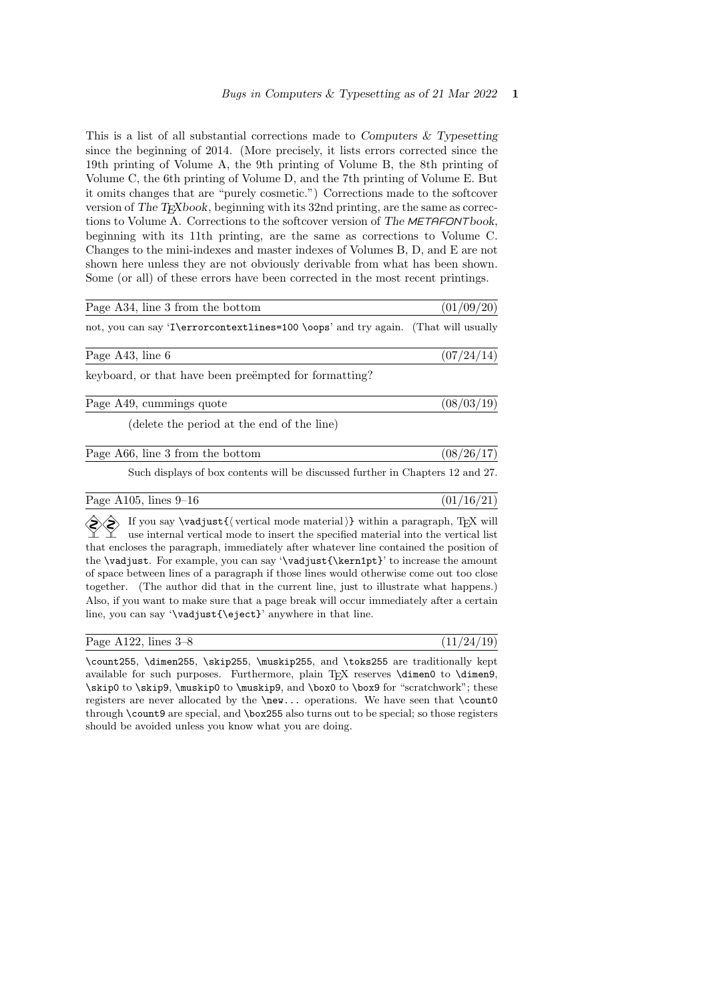This is a list of all substantial corrections made to Computers  $\&$  Typesetting since the beginning of 2014. (More precisely, it lists errors corrected since the 19th printing of Volume A, the 9th printing of Volume B, the 8th printing of Volume C, the 6th printing of Volume D, and the 7th printing of Volume E. But it omits changes that are "purely cosmetic.") Corrections made to the softcover version of The T<sub>E</sub>Xbook, beginning with its 32nd printing, are the same as corrections to Volume A. Corrections to the softcover version of The METAFONTbook, beginning with its 11th printing, are the same as corrections to Volume C. Changes to the mini-indexes and master indexes of Volumes B, D, and E are not shown here unless they are not obviously derivable from what has been shown. Some (or all) of these errors have been corrected in the most recent printings.

| Page A34, line 3 from the bottom                                                   | (01/09/20) |
|------------------------------------------------------------------------------------|------------|
| not, you can say 'I\errorcontextlines=100 \oops' and try again. (That will usually |            |

Page A43, line 6  $(07/24/14)$ 

 $(08/03/19)$ 

 $(01/16/21)$ 

keyboard, or that have been preëmpted for formatting?

|  | Page A49, cummings quote |  |
|--|--------------------------|--|
|  |                          |  |

(delete the period at the end of the line)

| Page A66, line 3 from the bottom | (08/26/17) |
|----------------------------------|------------|
|                                  |            |

Such displays of box contents will be discussed further in Chapters 12 and 27.

| Page A105, lines 9–16 |  |
|-----------------------|--|
|                       |  |

 $\Diamond$  If you say \vadjust{\vertical mode material}} within a paragraph, TEX will use internal vertical mode to insert the specified material into the vertical list that encloses the paragraph, immediately after whatever line contained the position of the \vadjust. For example, you can say '\vadjust{\kern1pt}' to increase the amount of space between lines of a paragraph if those lines would otherwise come out too close together. (The author did that in the current line, just to illustrate what happens.) Also, if you want to make sure that a page break will occur immediately after a certain line, you can say '\vadjust{\eject}' anywhere in that line.

| Page A122, lines $3-8$ |  |  |  |  |  |
|------------------------|--|--|--|--|--|
|------------------------|--|--|--|--|--|

 $(11/24/19)$ 

\count255, \dimen255, \skip255, \muskip255, and \toks255 are traditionally kept available for such purposes. Furthermore, plain TFX reserves \dimen0 to \dimen9, \skip0 to \skip9, \muskip0 to \muskip9, and \box0 to \box9 for "scratchwork"; these registers are never allocated by the  $\neq \dots$ , operations. We have seen that  $\count0$ through \count9 are special, and \box255 also turns out to be special; so those registers should be avoided unless you know what you are doing.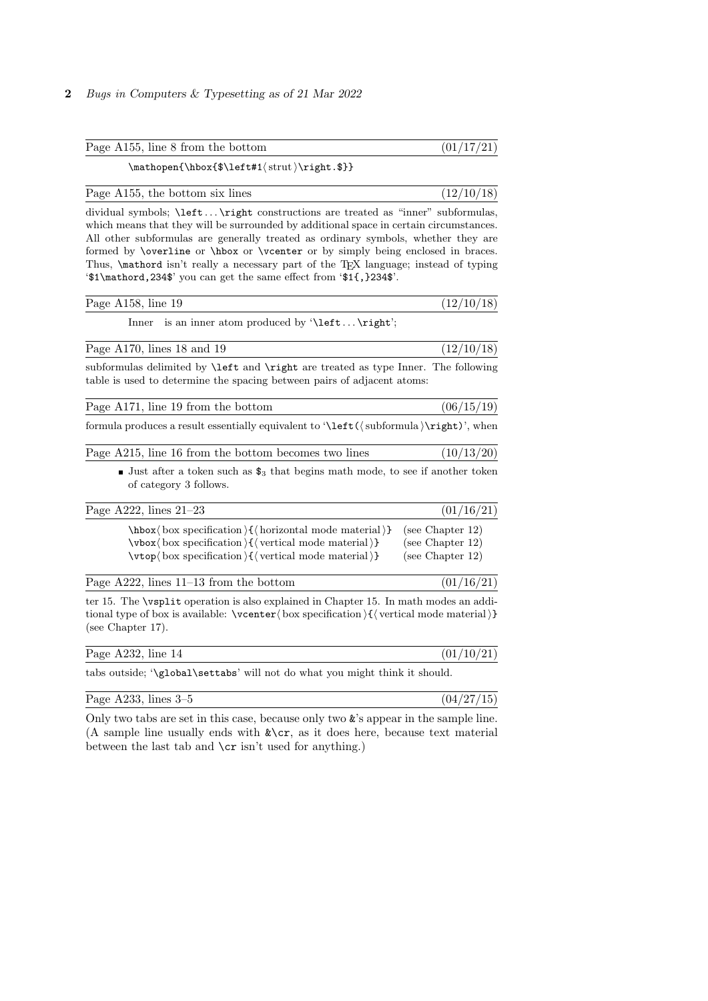### 2 Bugs in Computers & Typesetting as of 21 Mar 2022

| Page A155, line 8 from the bottom | (01/17/21) |
|-----------------------------------|------------|
|                                   |            |

 $\mathfrak{hbox}_{\left\{ \text{strut}\right.\$ 

| Page A155, the bottom six lines |  |  |  |  |
|---------------------------------|--|--|--|--|
|---------------------------------|--|--|--|--|

 $(12/10/18)$ 

dividual symbols; \left ... \right constructions are treated as "inner" subformulas, which means that they will be surrounded by additional space in certain circumstances. All other subformulas are generally treated as ordinary symbols, whether they are formed by \overline or \hbox or \vcenter or by simply being enclosed in braces. Thus, **\mathord** isn't really a necessary part of the TEX language; instead of typing '\$1\mathord,234\$' you can get the same effect from '\$1{,}234\$'.

| Page A158, line 19 |  | (12/10/18) |  |  |
|--------------------|--|------------|--|--|
|--------------------|--|------------|--|--|

Inner is an inner atom produced by '\left ... \right';

| Page $A170$ , lines 18 and 19 | (12/10/18) |
|-------------------------------|------------|
|-------------------------------|------------|

subformulas delimited by \left and \right are treated as type Inner. The following table is used to determine the spacing between pairs of adjacent atoms:

| Page A171, line 19 from the bottom | (06/15/19) |
|------------------------------------|------------|
|                                    |            |

formula produces a result essentially equivalent to '\left( $\langle$  subformula  $\rangle$ \right)', when

|  | Page A215, line 16 from the bottom becomes two lines |  | (10/13/20) |
|--|------------------------------------------------------|--|------------|
|  |                                                      |  |            |

**Just after a token such as**  $\mathbf{\$}_3$  that begins math mode, to see if another token of category 3 follows.

| Page A222, lines 21–23                                                                           | (01/16/21)          |
|--------------------------------------------------------------------------------------------------|---------------------|
| $\hbar$ box $\langle$ box specification $\{\langle\$ cizontal mode material $\rangle\}$          | (see Chapter $12$ ) |
| $\forall x \mid box \text{ specification} \setminus \{\text{vertical mode material}\}\$          | (see Chapter $12$ ) |
| $\forall x \in \mathbb{Q}$ ox specification $\{\forall x \in \mathbb{Q} \mid x \in \mathbb{Q}\}$ | (see Chapter $12$ ) |

| Page $A222$ , lines $11-13$ from the bottom | (01/16/21) |  |
|---------------------------------------------|------------|--|
|                                             |            |  |

ter 15. The \vsplit operation is also explained in Chapter 15. In math modes an additional type of box is available:  $\vector\boxtimes\operatorname{poc}$  specification  $\{\vector\otimes\operatorname{roc}$  mode material) (see Chapter 17).

| Page $A232$ , line 14                                                                                                          | (01/10/21) |
|--------------------------------------------------------------------------------------------------------------------------------|------------|
| $\mathbf{1}$ , and $\mathbf{1}$ , and $\mathbf{1}$ , and $\mathbf{1}$ , and $\mathbf{1}$ , and $\mathbf{1}$ , and $\mathbf{1}$ |            |

tabs outside; '\global\settabs' will not do what you might think it should.

| Page $A233$ , lines $3-5$ |  |
|---------------------------|--|
|---------------------------|--|

 $(04/27/15)$ 

Only two tabs are set in this case, because only two  $\&$ 's appear in the sample line. (A sample line usually ends with  $\&\csc$ , as it does here, because text material between the last tab and \cr isn't used for anything.)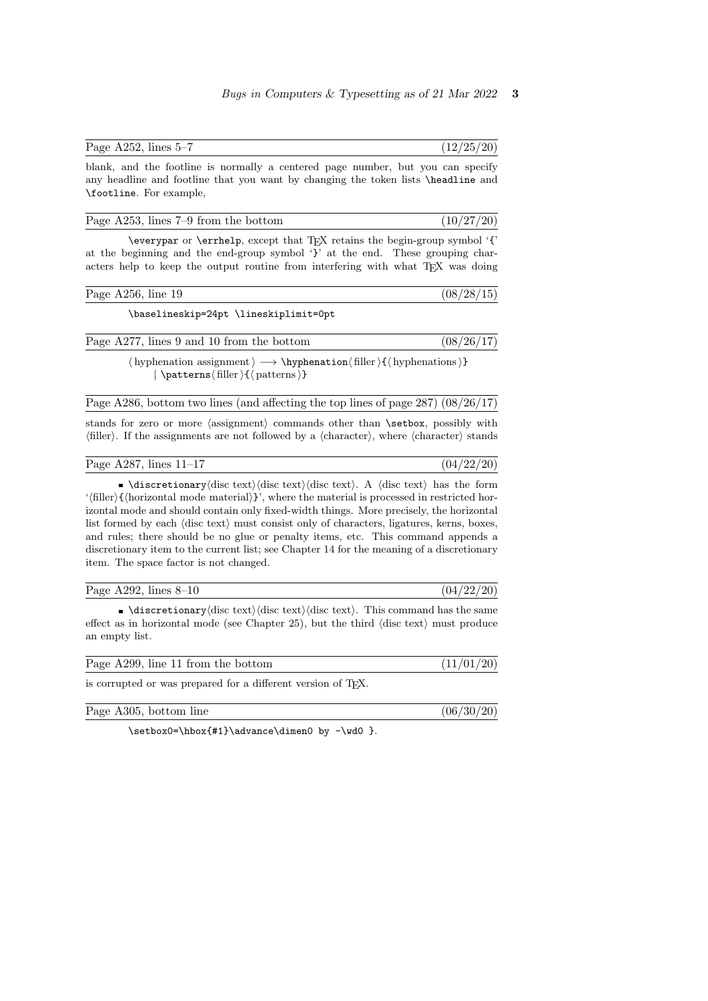$(10/27/20)$ 

|      | Page A252, lines $5-7$ |    |      |      |  | (12/25/20) |
|------|------------------------|----|------|------|--|------------|
| $ -$ |                        | __ | ____ | $ -$ |  | __         |

blank, and the footline is normally a centered page number, but you can specify any headline and footline that you want by changing the token lists \headline and \footline. For example,

|--|

\everypar or \errhelp, except that TEX retains the begin-group symbol '{' at the beginning and the end-group symbol '}' at the end. These grouping characters help to keep the output routine from interfering with what TEX was doing

| Page A256, line 19 | (08/28/15) |
|--------------------|------------|

\baselineskip=24pt \lineskiplimit=0pt

| Page A277, lines 9 and 10 from the bottom | (08/26/17) |
|-------------------------------------------|------------|
|-------------------------------------------|------------|

 $\langle$  hyphenation assignment $\rangle \rightarrow \hbox{\textbackslash}$  filler  $\{$  hyphenations  $\rangle$ }  $\langle$  \patterns\ filler \{\ patterns \}

| Page A286, bottom two lines (and affecting the top lines of page $287$ ) $(08/26/17)$ |  |
|---------------------------------------------------------------------------------------|--|
|                                                                                       |  |

stands for zero or more (assignment) commands other than **\setbox**, possibly with  $\langle$  filler). If the assignments are not followed by a  $\langle$  character $\rangle$ , where  $\langle$  character $\rangle$  stands

| Page A287, lines $11-17$ |  | (04/22/20) |  |  |
|--------------------------|--|------------|--|--|
|--------------------------|--|------------|--|--|

 $\Box$ \discretionary\disc text\disc text\disc text\. A \disc text\ has the form '(filler) $\{\langle \text{horizontal mode material}\rangle\}$ ', where the material is processed in restricted horizontal mode and should contain only fixed-width things. More precisely, the horizontal list formed by each  $\langle \text{disc text} \rangle$  must consist only of characters, ligatures, kerns, boxes, and rules; there should be no glue or penalty items, etc. This command appends a discretionary item to the current list; see Chapter 14 for the meaning of a discretionary item. The space factor is not changed.

| Page A292, lines $8-10$ | (04/22/20) |  |
|-------------------------|------------|--|

 $\Box$ \discretionary\disc text\disc text\disc text\. This command has the same effect as in horizontal mode (see Chapter 25), but the third  $\langle \text{disc text} \rangle$  must produce an empty list.

| Page A299, line 11 from the bottom | (11/01/20) |
|------------------------------------|------------|
|                                    |            |

is corrupted or was prepared for a different version of T<sub>E</sub>X.

| Page A305, bottom line | (06/30/20) |
|------------------------|------------|
|                        |            |

\setbox0=\hbox{#1}\advance\dimen0 by -\wd0 }.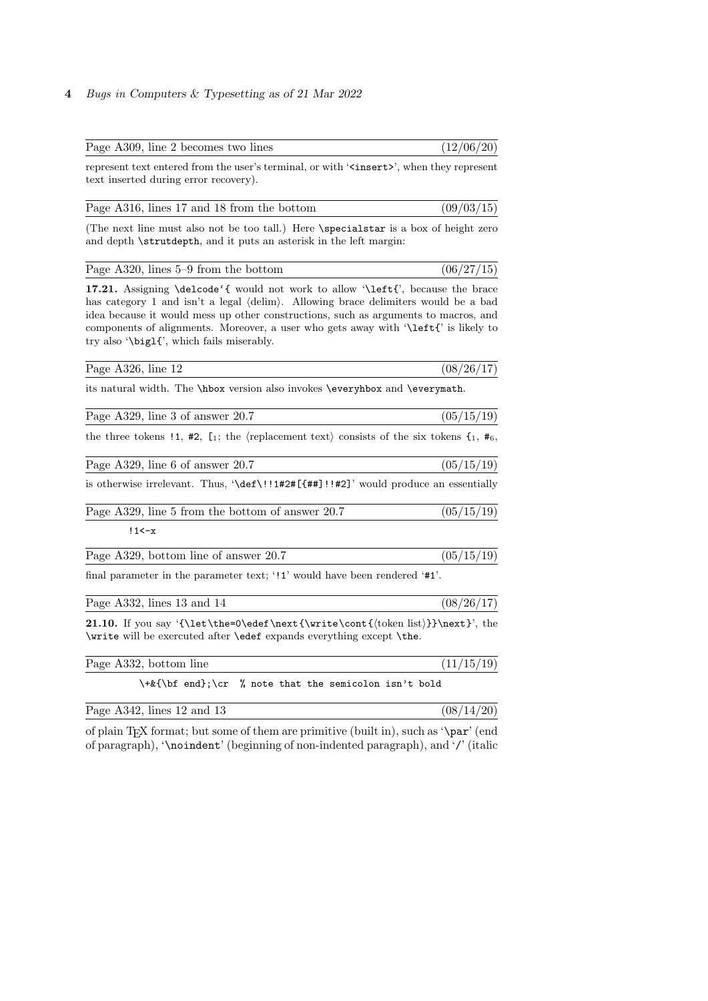# 4 Bugs in Computers & Typesetting as of 21 Mar 2022

| Page A309, line 2 becomes two lines                                                                                                                                                                                                                                                                                                                                                              | (12/06/20) |
|--------------------------------------------------------------------------------------------------------------------------------------------------------------------------------------------------------------------------------------------------------------------------------------------------------------------------------------------------------------------------------------------------|------------|
| represent text entered from the user's terminal, or with ' <insert>', when they represent<br/>text inserted during error recovery).</insert>                                                                                                                                                                                                                                                     |            |
| Page A316, lines 17 and 18 from the bottom                                                                                                                                                                                                                                                                                                                                                       | (09/03/15) |
| (The next line must also not be too tall.) Here \specialstar is a box of height zero<br>and depth \strutdepth, and it puts an asterisk in the left margin:                                                                                                                                                                                                                                       |            |
| Page $A320$ , lines $5-9$ from the bottom                                                                                                                                                                                                                                                                                                                                                        | (06/27/15) |
| 17.21. Assigning \delcode'{ would not work to allow '\left{', because the brace<br>has category 1 and isn't a legal (delim). Allowing brace delimiters would be a bad<br>idea because it would mess up other constructions, such as arguments to macros, and<br>components of alignments. Moreover, a user who gets away with '\left{' is likely to<br>try also '\big1{', which fails miserably. |            |
| Page A326, line 12                                                                                                                                                                                                                                                                                                                                                                               | (08/26/17) |
| its natural width. The \hbox version also invokes \everyhbox and \everymath.                                                                                                                                                                                                                                                                                                                     |            |
| Page A329, line 3 of answer 20.7                                                                                                                                                                                                                                                                                                                                                                 | (05/15/19) |
| the three tokens !1, #2, $[i]$ ; the (replacement text) consists of the six tokens $\{i, \, i\neq 6\}$                                                                                                                                                                                                                                                                                           |            |
| Page A329, line 6 of answer 20.7                                                                                                                                                                                                                                                                                                                                                                 | (05/15/19) |
| is otherwise irrelevant. Thus, '\def\!!1#2#[{##]!!#2]' would produce an essentially                                                                                                                                                                                                                                                                                                              |            |
| Page A329, line 5 from the bottom of answer 20.7                                                                                                                                                                                                                                                                                                                                                 | (05/15/19) |
| $!1$ < $-x$                                                                                                                                                                                                                                                                                                                                                                                      |            |
| Page A329, bottom line of answer 20.7                                                                                                                                                                                                                                                                                                                                                            | (05/15/19) |
| final parameter in the parameter text; '!1' would have been rendered '#1'.                                                                                                                                                                                                                                                                                                                       |            |
| Page A332, lines 13 and 14                                                                                                                                                                                                                                                                                                                                                                       | (08/26/17) |
| 21.10. If you say '{\let\the=0\edef\next{\write\cont{\token list}}}\next}', the<br>\write will be exercuted after \edef expands everything except \the.                                                                                                                                                                                                                                          |            |
| Page A332, bottom line                                                                                                                                                                                                                                                                                                                                                                           | (11/15/19) |
| $\t\text{\bf\bf b}$ f end};\cr<br>% note that the semicolon isn't bold                                                                                                                                                                                                                                                                                                                           |            |
| Page A342, lines 12 and 13                                                                                                                                                                                                                                                                                                                                                                       | (08/14/20) |

of plain TEX format; but some of them are primitive (built in), such as '\par' (end of paragraph), '\noindent' (beginning of non-indented paragraph), and '/' (italic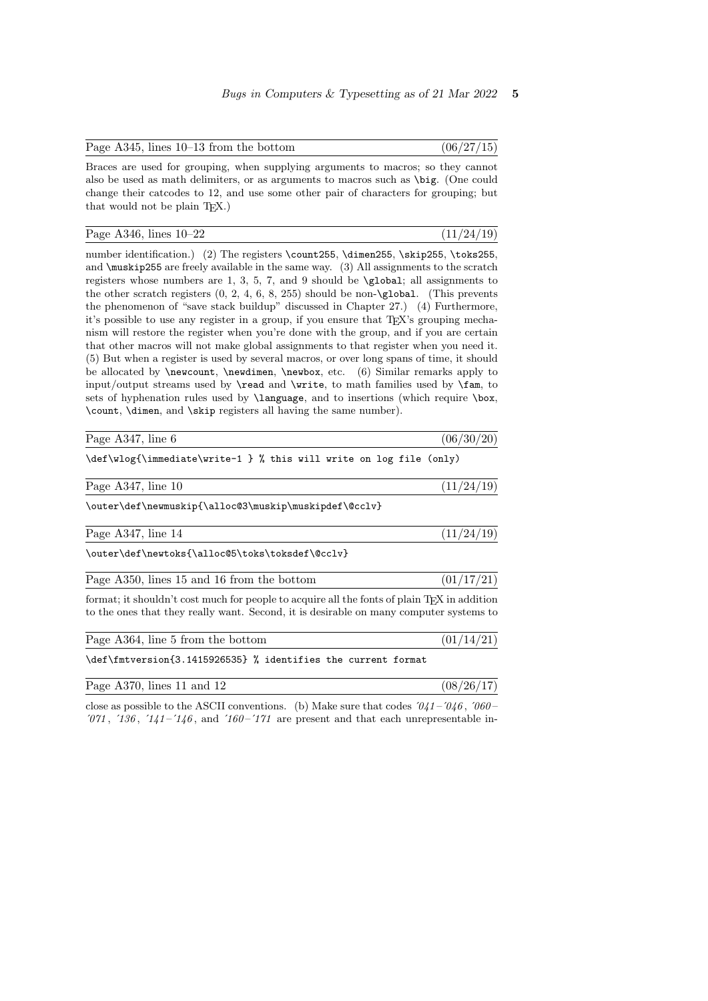| Page $A345$ , lines $10-13$ from the bottom |  | (06/27/15) |  |  |
|---------------------------------------------|--|------------|--|--|
|---------------------------------------------|--|------------|--|--|

Braces are used for grouping, when supplying arguments to macros; so they cannot also be used as math delimiters, or as arguments to macros such as \big. (One could change their catcodes to 12, and use some other pair of characters for grouping; but that would not be plain  $T_F X$ .)

| Page A346, lines $10-22$ |  | (11/24/19) |  |  |
|--------------------------|--|------------|--|--|
|--------------------------|--|------------|--|--|

number identification.) (2) The registers \count255, \dimen255, \skip255, \toks255, and  $\max$ ip255 are freely available in the same way. (3) All assignments to the scratch registers whose numbers are 1, 3, 5, 7, and 9 should be \global; all assignments to the other scratch registers  $(0, 2, 4, 6, 8, 255)$  should be non-\global. (This prevents the phenomenon of "save stack buildup" discussed in Chapter 27.) (4) Furthermore, it's possible to use any register in a group, if you ensure that TEX's grouping mechanism will restore the register when you're done with the group, and if you are certain that other macros will not make global assignments to that register when you need it. (5) But when a register is used by several macros, or over long spans of time, it should be allocated by \newcount, \newdimen, \newbox, etc. (6) Similar remarks apply to input/output streams used by \read and \write, to math families used by \fam, to sets of hyphenation rules used by **\language**, and to insertions (which require **\box**, \count, \dimen, and \skip registers all having the same number).

|                                           | Page A347, line 6 |                      |  |  |                                                                                                                                                                                                                               |  |  | (06/30/20) |
|-------------------------------------------|-------------------|----------------------|--|--|-------------------------------------------------------------------------------------------------------------------------------------------------------------------------------------------------------------------------------|--|--|------------|
| $\sim$ $\sim$ $\sim$ $\sim$ $\sim$ $\sim$ |                   | $\sim$ $\sim$ $\sim$ |  |  | 그 사람들은 그 사람들은 그 사람들을 지르며 그 사람들을 지르며 그 사람들을 지르며 그 사람들을 지르며 그 사람들을 지르며 그 사람들을 지르며 그 사람들을 지르며 그 사람들을 지르며 그 사람들을 지르며 그 사람들을 지르며 그 사람들을 지르며 그 사람들을 지르며 그 사람들을 지르며 그 사람들을 지르며 그 사람들을 지르며 그 사람들을 지르며 그 사람들을 지르며 그 사람들을 지르며 그 사람들을 지르 |  |  |            |

\def\wlog{\immediate\write-1 } % this will write on log file (only)

Page A347, line 10  $(11/24/19)$ 

\outer\def\newmuskip{\alloc@3\muskip\muskipdef\@cclv}

Page A347, line  $14$  (11/24/19)

\outer\def\newtoks{\alloc@5\toks\toksdef\@cclv}

| Page A350, lines 15 and 16 from the bottom |  |  |  | (01/17/21) |  |
|--------------------------------------------|--|--|--|------------|--|
|                                            |  |  |  |            |  |

format; it shouldn't cost much for people to acquire all the fonts of plain TEX in addition to the ones that they really want. Second, it is desirable on many computer systems to

| Page A364, line 5 from the bottom                             | (01/14/21) |
|---------------------------------------------------------------|------------|
| \def\fmtversion{3.1415926535} % identifies the current format |            |

| Page $A370$ , lines 11 and 12 | (08/26/17) |
|-------------------------------|------------|
|                               |            |

close as possible to the ASCII conventions. (b) Make sure that codes  $0.41 - 0.46$ ,  $0.060 - 0.41$  $'071$ ,  $'136$ ,  $'141 -'146$ , and  $'160 -'171$  are present and that each unrepresentable in-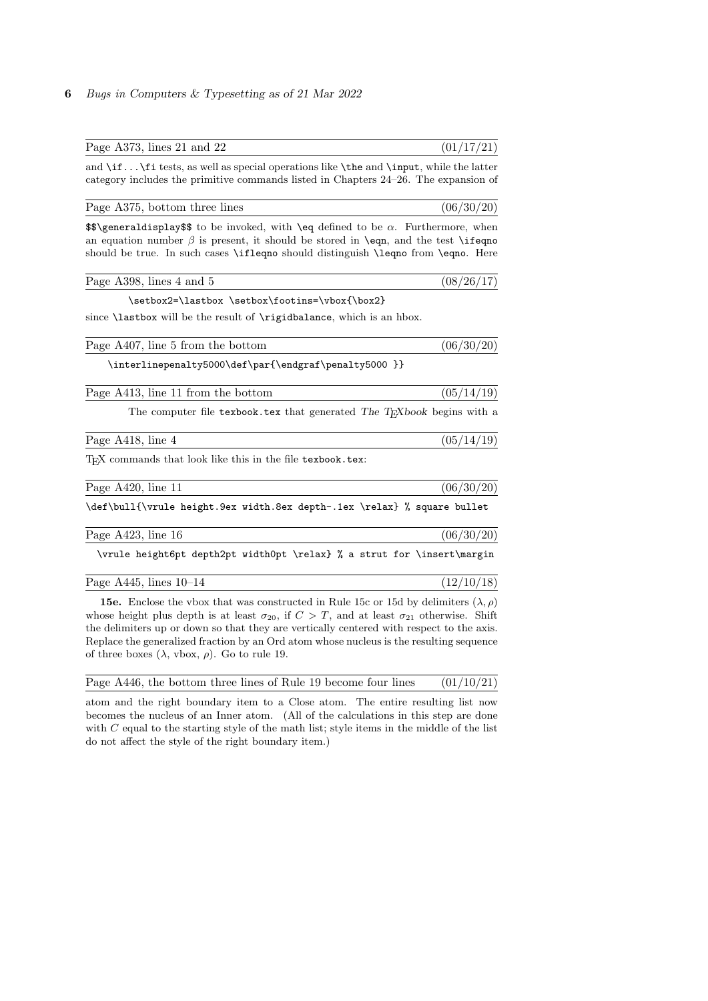### 6 Bugs in Computers & Typesetting as of 21 Mar 2022

| Page A373, lines 21 and $22$                                                                                                                                                                                                                                                                                  | (01/17/21) |
|---------------------------------------------------------------------------------------------------------------------------------------------------------------------------------------------------------------------------------------------------------------------------------------------------------------|------------|
| and $\if$ it tests, as well as special operations like $\theta$ and $\input$ , while the latter<br>category includes the primitive commands listed in Chapters 24–26. The expansion of                                                                                                                        |            |
| Page A375, bottom three lines                                                                                                                                                                                                                                                                                 | (06/30/20) |
| $\$\$ and $\$\$ to be invoked, with $\eq{e}$ defined to be $\alpha$ . Furthermore, when<br>an equation number $\beta$ is present, it should be stored in <b>\eqn</b> , and the test <b>\ifeqno</b><br>should be true. In such cases <b>\ifleqno</b> should distinguish <b>\leqno</b> from <b>\eqno</b> . Here |            |
| Page A398, lines 4 and 5                                                                                                                                                                                                                                                                                      | (08/26/17) |
| \setbox2=\lastbox \setbox\footins=\vbox{\box2}                                                                                                                                                                                                                                                                |            |
| since <b>lastbox</b> will be the result of <b>\rigidbalance</b> , which is an hbox.                                                                                                                                                                                                                           |            |
| Page A407, line 5 from the bottom                                                                                                                                                                                                                                                                             | (06/30/20) |
| \interlinepenalty5000\def\par{\endgraf\penalty5000 }}                                                                                                                                                                                                                                                         |            |
| Page A413, line 11 from the bottom                                                                                                                                                                                                                                                                            | (05/14/19) |
| The computer file texbook tex that generated The T <sub>F</sub> Xbook begins with a                                                                                                                                                                                                                           |            |
| Page A418, line 4                                                                                                                                                                                                                                                                                             | (05/14/19) |
| TFX commands that look like this in the file texbook.tex:                                                                                                                                                                                                                                                     |            |
| Page A420, line 11                                                                                                                                                                                                                                                                                            | (06/30/20) |
| \def\bull{\vrule height.9ex width.8ex depth-.1ex \relax} % square bullet                                                                                                                                                                                                                                      |            |
| Page A423, line 16                                                                                                                                                                                                                                                                                            | (06/30/20) |
| \vrule height6pt depth2pt width0pt \relax} % a strut for \insert\margin                                                                                                                                                                                                                                       |            |

Page A445, lines  $10-14$  (12/10/18)

**15e.** Enclose the vbox that was constructed in Rule 15c or 15d by delimiters  $(\lambda, \rho)$ whose height plus depth is at least  $\sigma_{20}$ , if  $C > T$ , and at least  $\sigma_{21}$  otherwise. Shift the delimiters up or down so that they are vertically centered with respect to the axis. Replace the generalized fraction by an Ord atom whose nucleus is the resulting sequence of three boxes  $(\lambda, \text{ vbox}, \rho)$ . Go to rule 19.

| Page A446, the bottom three lines of Rule 19 become four lines |  | (01/10/21) |  |  |
|----------------------------------------------------------------|--|------------|--|--|
|----------------------------------------------------------------|--|------------|--|--|

atom and the right boundary item to a Close atom. The entire resulting list now becomes the nucleus of an Inner atom. (All of the calculations in this step are done with  $C$  equal to the starting style of the math list; style items in the middle of the list do not affect the style of the right boundary item.)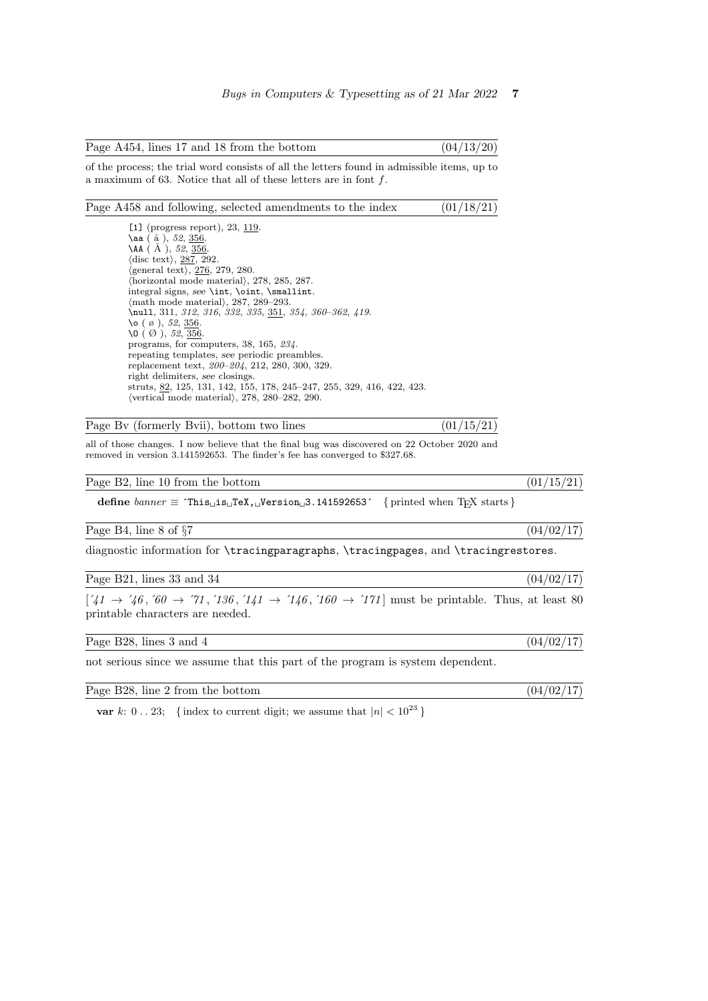| Page A454, lines 17 and 18 from the bottom |  | (04/13/20) |  |  |
|--------------------------------------------|--|------------|--|--|
|--------------------------------------------|--|------------|--|--|

of the process; the trial word consists of all the letters found in admissible items, up to a maximum of 63. Notice that all of these letters are in font f.

## Page A458 and following, selected amendments to the index  $(01/18/21)$

[1] (progress report), 23, 119.  $\lambda$ aa ( $a \bar{a}$ ), 52, 356.  $\overline{AA}$  ( $\AA'$ ), 52,  $\overline{356}$ .  $\langle$  disc text $\rangle$ , 287, 292.  $\langle$ general text $\rangle$ , 276, 279, 280.  $\langle$ horizontal mode material $\rangle$ , 278, 285, 287. integral signs, see \int, \oint, \smallint.  $\langle \text{math model material} \rangle$ , 287, 289–293. \null, 311, 312, 316, 332, 335, 351, 354, 360-362, 419. \o (  $\varnothing$  ), 52, <u>356</u>. \O (  $\varnothing$  ), 52, <u>356</u>. programs, for computers, 38, 165, 234. repeating templates, see periodic preambles. replacement text, 200–204, 212, 280, 300, 329. right delimiters, see closings. struts, 82, 125, 131, 142, 155, 178, 245–247, 255, 329, 416, 422, 423.  $\overline{\text{vertical mode material}}$ , 278, 280–282, 290.

Page Bv (formerly Bvii), bottom two lines  $(01/15/21)$ 

all of those changes. I now believe that the final bug was discovered on 22 October 2020 and removed in version 3.141592653. The finder's fee has converged to \$327.68.

Page B2, line 10 from the bottom  $(01/15/21)$ 

define  $\text{banner} \equiv \text{`This}\_ \text{i} \text{s}\_ \text{'}$ TeX,  $\text{``J}$ Version $\text{''}\_3$ . 141592653´ { printed when TEX starts }

Page B4, line 8 of  $\frac{87}{17}$ 

diagnostic information for \tracingparagraphs, \tracingpages, and \tracingrestores.

Page B21, lines 33 and 34 (04/02/17)

 $[741 \rightarrow 746, 60 \rightarrow 71, 7136, 741 \rightarrow 746, 760 \rightarrow 771]$  must be printable. Thus, at least 80 printable characters are needed.

Page B28, lines 3 and 4  $(04/02/17)$ 

not serious since we assume that this part of the program is system dependent.

Page B28, line 2 from the bottom  $(04/02/17)$ 

var k: 0...23; { index to current digit; we assume that  $|n| < 10^{23}$  }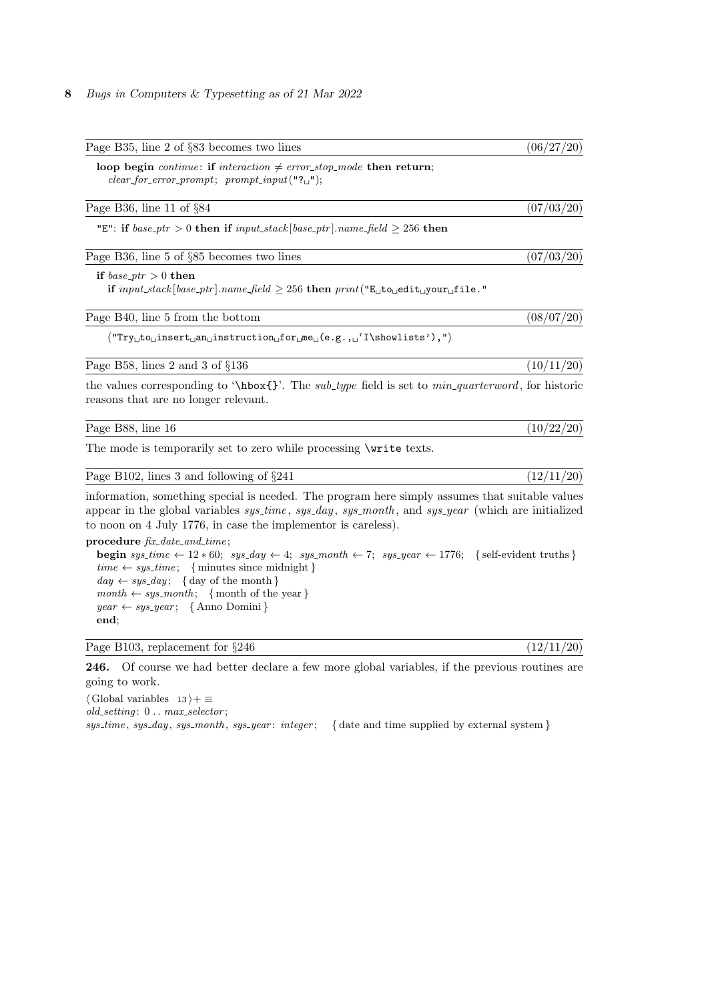| Page B35, line 2 of §83 becomes two lines                                                                                                                                                                                                                                                                                                                                                                                                   | (06/27/20) |
|---------------------------------------------------------------------------------------------------------------------------------------------------------------------------------------------------------------------------------------------------------------------------------------------------------------------------------------------------------------------------------------------------------------------------------------------|------------|
| loop begin continue: if interaction $\neq$ error_stop_mode then return;<br>$clear\_for\_error\_prompt; \ prompt\_input("?$ ;                                                                                                                                                                                                                                                                                                                |            |
| Page B36, line 11 of $\S 84$                                                                                                                                                                                                                                                                                                                                                                                                                | (07/03/20) |
| "E": if base_ptr > 0 then if input_stack [base_ptr].name_field $\geq$ 256 then                                                                                                                                                                                                                                                                                                                                                              |            |
| Page B36, line 5 of §85 becomes two lines                                                                                                                                                                                                                                                                                                                                                                                                   | (07/03/20) |
| if $base\_ptr > 0$ then<br>if $input\_stack[base\_ptr]$ . name_field $\geq 256$ then $print("E_{\cup}to_{\cup}edit_{\cup}your_{\cup}file."$                                                                                                                                                                                                                                                                                                 |            |
| Page B40, line 5 from the bottom                                                                                                                                                                                                                                                                                                                                                                                                            | (08/07/20) |
| $(\texttt{Try\_to\_insert\_an\_instruction\_for\_me\_}{e.g.}, \texttt{1}\sbox{--infty}~), \texttt{1}\sbox{--in}$                                                                                                                                                                                                                                                                                                                            |            |
| Page B58, lines 2 and 3 of $\S 136$                                                                                                                                                                                                                                                                                                                                                                                                         | (10/11/20) |
| the values corresponding to '\hbox{}'. The sub_type field is set to $min\_quarterword$ , for historic<br>reasons that are no longer relevant.                                                                                                                                                                                                                                                                                               |            |
| Page B88, line 16                                                                                                                                                                                                                                                                                                                                                                                                                           | (10/22/20) |
| The mode is temporarily set to zero while processing <i>\write texts</i> .                                                                                                                                                                                                                                                                                                                                                                  |            |
| Page B102, lines 3 and following of $\S 241$                                                                                                                                                                                                                                                                                                                                                                                                | (12/11/20) |
| information, something special is needed. The program here simply assumes that suitable values<br>appear in the global variables $sys_time, sys-day, sys-month, and sys-year$ (which are initialized<br>to noon on 4 July 1776, in case the implement is careless).                                                                                                                                                                         |            |
| procedure $fix\_date\_and\_time$ ;<br><b>begin</b> sys_time $\leftarrow$ 12 $*$ 60; sys_day $\leftarrow$ 4; sys_month $\leftarrow$ 7; sys_year $\leftarrow$ 1776; { self-evident truths }<br>$time \leftarrow sys_time; \{ minutes since midnight\}$<br>$day \leftarrow sys\_day; \{ day of the month \}$<br>$month \leftarrow sys-month; \{ month \text{ of the year }\}$<br>$year \leftarrow sys\_year; \{ \text{Anno Domini} \}$<br>end; |            |
| Page B103, replacement for $\S 246$                                                                                                                                                                                                                                                                                                                                                                                                         | (12/11/20) |

246. Of course we had better declare a few more global variables, if the previous routines are going to work.

 $\langle$  Global variables 13  $\rangle + \equiv$ 

 $old\_setting: 0...max\_selector;$ 

 $sys_time, sys-day, sys-month, sys-year: integer;$  { date and time supplied by external system }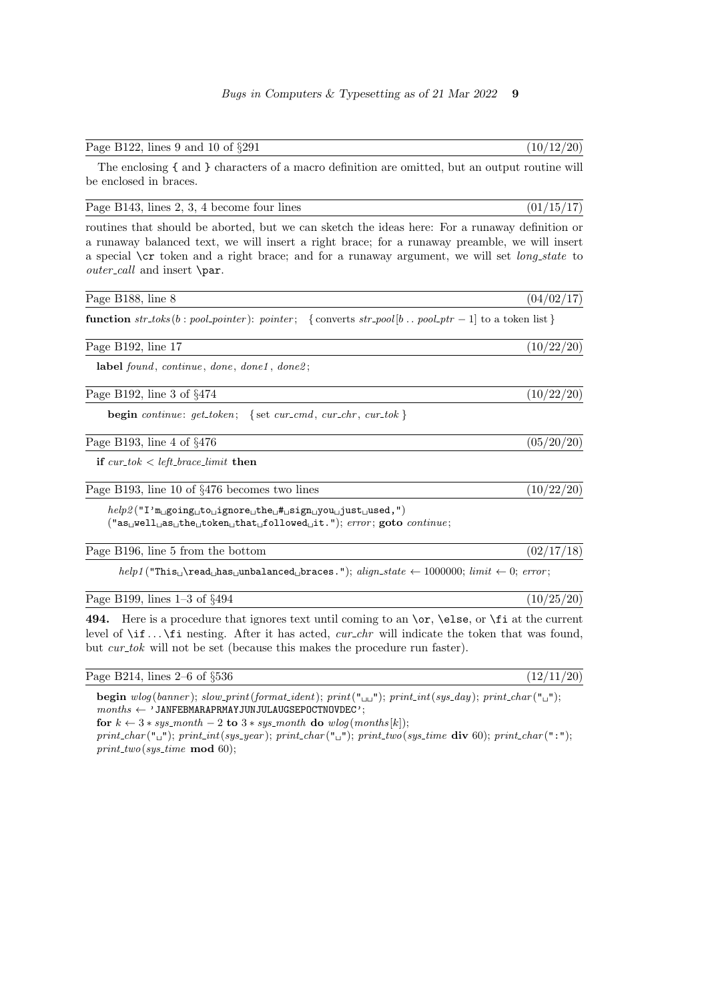Page B122, lines 9 and 10 of  $\S 291$  (10/12/20)

The enclosing { and } characters of a macro definition are omitted, but an output routine will be enclosed in braces.

Page B143, lines 2, 3, 4 become four lines  $(01/15/17)$ 

routines that should be aborted, but we can sketch the ideas here: For a runaway definition or a runaway balanced text, we will insert a right brace; for a runaway preamble, we will insert a special  $\csc$  token and a right brace; and for a runaway argument, we will set *long-state* to  $outer\_call$  and insert \par.

| Page B188, line 8                                                                                                                                                                                                                                                                                                          | (04/02/17) |
|----------------------------------------------------------------------------------------------------------------------------------------------------------------------------------------------------------------------------------------------------------------------------------------------------------------------------|------------|
| function $str\_toks(b : pool\_pointer)$ : pointer; { converts $str\_pool[b  pool\_ptr-1]$ to a token list}                                                                                                                                                                                                                 |            |
| Page B192, line 17                                                                                                                                                                                                                                                                                                         | (10/22/20) |
| label found, continue, done, done1, done2;                                                                                                                                                                                                                                                                                 |            |
| Page B192, line 3 of $\S 474$                                                                                                                                                                                                                                                                                              | (10/22/20) |
| <b>begin</b> continue: $get\_token$ ; {set cur_cmd, cur_chr, cur_tok}                                                                                                                                                                                                                                                      |            |
| Page B193, line 4 of $\S 476$                                                                                                                                                                                                                                                                                              | (05/20/20) |
| if $cur\_tok < left\_brace$ limit then                                                                                                                                                                                                                                                                                     |            |
| Page B193, line 10 of $\S 476$ becomes two lines                                                                                                                                                                                                                                                                           | (10/22/20) |
| $help2("I'm\text{__going}\text{__to}\text{__ignore}\text{__the}\text{__#}\text{__sign}\text{__you}\text{__just}\text{__used},")$<br>$("asUwellUasUtheUtokenUthatU followedUit."); error; goto continue;$                                                                                                                   |            |
| Page B196, line 5 from the bottom                                                                                                                                                                                                                                                                                          | (02/17/18) |
| $help1$ ("This <sub>u</sub> \read <sub>u</sub> has <sub>u</sub> unbalanced <sub>u</sub> braces."); $align\_state \leftarrow 1000000; limit \leftarrow 0; error;$                                                                                                                                                           |            |
| Page B199, lines $1-3$ of $\S 494$                                                                                                                                                                                                                                                                                         | (10/25/20) |
| Here is a procedure that ignores text until coming to an $\or$ , $\else$ felse, or $\if$ at the current<br>494.<br>level of $\iota$ if $\iota$ is nesting. After it has acted, <i>cur_chr</i> will indicate the token that was found,<br>but <i>cur_tok</i> will not be set (because this makes the procedure run faster). |            |

Page B214, lines  $2-6$  of  $\S 536$  (12/11/20)

begin wlog (banner); slow\_print(format\_ident); print(" $\Box$ "); print\_int(sys\_day); print\_char(" $\Box$ ");  $months \leftarrow 'JANFEBMARAPRMAYJUNJULAUGSEPORTNOVDEC';$ 

for  $k \leftarrow 3 * sys-month - 2$  to  $3 * sys-month$  do  $wlog(months[k])$ ;

print\_char("\_"); print\_int(sys\_year); print\_char("\_"); print\_two(sys\_time div 60); print\_char(":");  $print\_two(sys\_time \mod 60);$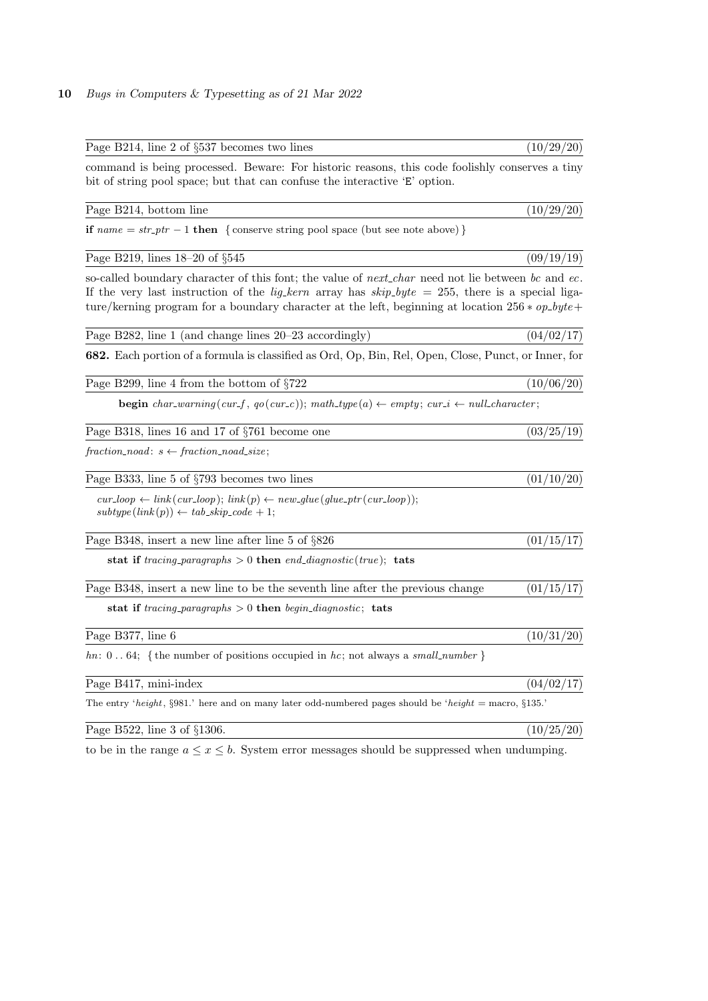| Page B214, line 2 of §537 becomes two lines                                                                                                                                                                                                                                                                           | (10/29/20) |
|-----------------------------------------------------------------------------------------------------------------------------------------------------------------------------------------------------------------------------------------------------------------------------------------------------------------------|------------|
| command is being processed. Beware: For historic reasons, this code foolishly conserves a tiny<br>bit of string pool space; but that can confuse the interactive 'E' option.                                                                                                                                          |            |
| Page B214, bottom line                                                                                                                                                                                                                                                                                                | (10/29/20) |
| if $name = str\_ptr - 1$ then { conserve string pool space (but see note above) }                                                                                                                                                                                                                                     |            |
| Page B219, lines $18-20$ of $\S 545$                                                                                                                                                                                                                                                                                  | (09/19/19) |
| so-called boundary character of this font; the value of next-char need not lie between bc and ec.<br>If the very last instruction of the <i>lig.kern</i> array has $skip_bpt = 255$ , there is a special liga-<br>ture/kerning program for a boundary character at the left, beginning at location $256 * op\_byte +$ |            |
| Page B282, line 1 (and change lines $20-23$ accordingly)                                                                                                                                                                                                                                                              | (04/02/17) |
| 682. Each portion of a formula is classified as Ord, Op, Bin, Rel, Open, Close, Punct, or Inner, for                                                                                                                                                                                                                  |            |
| Page B299, line 4 from the bottom of $\S722$                                                                                                                                                                                                                                                                          | (10/06/20) |
| <b>begin</b> char_warning(cur_f, $qo(cur_c)$ ); math_type(a) $\leftarrow$ empty; cur_i $\leftarrow$ null_character;                                                                                                                                                                                                   |            |
| Page B318, lines 16 and 17 of §761 become one                                                                                                                                                                                                                                                                         | (03/25/19) |
| $fraction\_nod: s \leftarrow fraction\_nod\_size;$                                                                                                                                                                                                                                                                    |            |
| Page B333, line 5 of §793 becomes two lines                                                                                                                                                                                                                                                                           | (01/10/20) |
| $cur\_loop \leftarrow link(cur\_loop); link(p) \leftarrow new\_glue(glue\_ptr(cur\_loop));$<br>$subtype(link(p)) \leftarrow tab\_skip\_code + 1;$                                                                                                                                                                     |            |
| Page B348, insert a new line after line 5 of §826                                                                                                                                                                                                                                                                     | (01/15/17) |
| stat if tracing paragraphs $> 0$ then end diagnostic (true); tats                                                                                                                                                                                                                                                     |            |
| Page B348, insert a new line to be the seventh line after the previous change                                                                                                                                                                                                                                         | (01/15/17) |
| stat if tracing paragraphs $> 0$ then begin diagnostic; tats                                                                                                                                                                                                                                                          |            |
| Page B377, line 6                                                                                                                                                                                                                                                                                                     | (10/31/20) |
| hn: 0 64; {the number of positions occupied in hc; not always a small_number }                                                                                                                                                                                                                                        |            |
| Page B417, mini-index                                                                                                                                                                                                                                                                                                 | (04/02/17) |
| The entry 'height, §981.' here and on many later odd-numbered pages should be 'height = macro, §135.'                                                                                                                                                                                                                 |            |
| Page B522, line 3 of §1306.                                                                                                                                                                                                                                                                                           | (10/25/20) |
|                                                                                                                                                                                                                                                                                                                       |            |

to be in the range  $a \le x \le b$ . System error messages should be suppressed when undumping.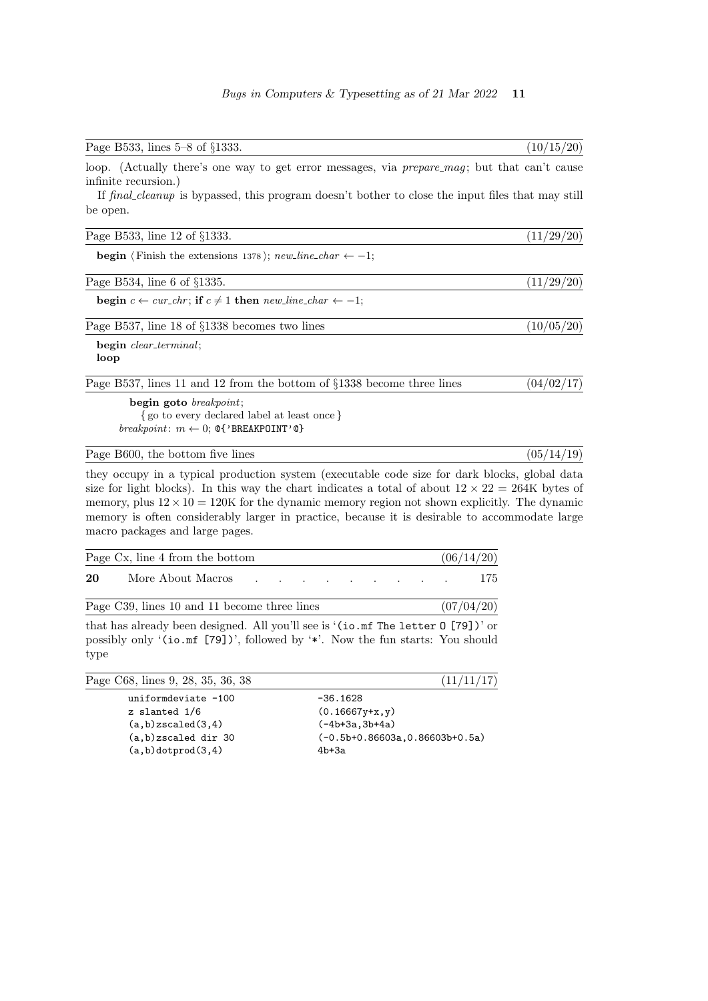| Page B533, lines 5–8 of §1333.                                                                                                                                                                                                                                                                                                                                                                                                                      | (10/15/20) |
|-----------------------------------------------------------------------------------------------------------------------------------------------------------------------------------------------------------------------------------------------------------------------------------------------------------------------------------------------------------------------------------------------------------------------------------------------------|------------|
| loop. (Actually there's one way to get error messages, via <i>prepare_mag</i> ; but that can't cause<br>infinite recursion.)                                                                                                                                                                                                                                                                                                                        |            |
| If final cleanup is bypassed, this program doesn't bother to close the input files that may still<br>be open.                                                                                                                                                                                                                                                                                                                                       |            |
| Page B533, line 12 of §1333.                                                                                                                                                                                                                                                                                                                                                                                                                        | (11/29/20) |
| <b>begin</b> $\langle$ Finish the extensions 1378 $\rangle$ ; <i>new_line_char</i> $\leftarrow -1$ ;                                                                                                                                                                                                                                                                                                                                                |            |
| Page B534, line 6 of $\S$ 1335.                                                                                                                                                                                                                                                                                                                                                                                                                     | (11/29/20) |
| begin $c \leftarrow cur_{chr}$ ; if $c \neq 1$ then new line_char $\leftarrow -1$ ;                                                                                                                                                                                                                                                                                                                                                                 |            |
| Page B537, line 18 of §1338 becomes two lines                                                                                                                                                                                                                                                                                                                                                                                                       | (10/05/20) |
| begin clear_terminal;<br>loop                                                                                                                                                                                                                                                                                                                                                                                                                       |            |
| Page B537, lines 11 and 12 from the bottom of §1338 become three lines                                                                                                                                                                                                                                                                                                                                                                              | (04/02/17) |
| begin goto $breakpoint$ ;<br>{go to every declared label at least once }<br><i>breakpoint</i> : $m \leftarrow 0$ ; <b>Q{'BREAKPOINT'Q}</b>                                                                                                                                                                                                                                                                                                          |            |
| Page B600, the bottom five lines                                                                                                                                                                                                                                                                                                                                                                                                                    | (05/14/19) |
| they occupy in a typical production system (executable code size for dark blocks, global data<br>size for light blocks). In this way the chart indicates a total of about $12 \times 22 = 264K$ bytes of<br>memory, plus $12 \times 10 = 120$ K for the dynamic memory region not shown explicitly. The dynamic<br>memory is often considerably larger in practice, because it is desirable to accommodate large<br>macro packages and large pages. |            |

|    | Page Cx, line 4 from the bottom              |                                                                                                                                                                                                                                  |  |  |  | (06/14/20) |
|----|----------------------------------------------|----------------------------------------------------------------------------------------------------------------------------------------------------------------------------------------------------------------------------------|--|--|--|------------|
| 20 | More About Macros                            | the contract of the contract of the contract of the contract of the contract of the contract of the contract of                                                                                                                  |  |  |  | 175        |
|    | Page C39, lines 10 and 11 become three lines |                                                                                                                                                                                                                                  |  |  |  | (07/04/20) |
|    | .                                            | $\frac{1}{2}$ . The set of the set of the set of the set of the set of the set of the set of the set of the set of the set of the set of the set of the set of the set of the set of the set of the set of the set of the set of |  |  |  |            |

that has already been designed. All you'll see is '(io.mf The letter O [79])' or possibly only '(io.mf [79])', followed by '\*'. Now the fun starts: You should type

| Page C68, lines 9, 28, 35, 36, 38 | (11/11/17)                        |
|-----------------------------------|-----------------------------------|
| uniformdeviate -100               | $-36.1628$                        |
| z slanted 1/6                     | $(0.16667y+x, y)$                 |
| $(a,b)$ zscaled $(3,4)$           | $(-4b+3a.3b+4a)$                  |
| $(a,b)$ zscaled dir 30            | $(-0.5b+0.86603a, 0.86603b+0.5a)$ |
| $(a,b)$ dotprod $(3,4)$           | $4b+3a$                           |
|                                   |                                   |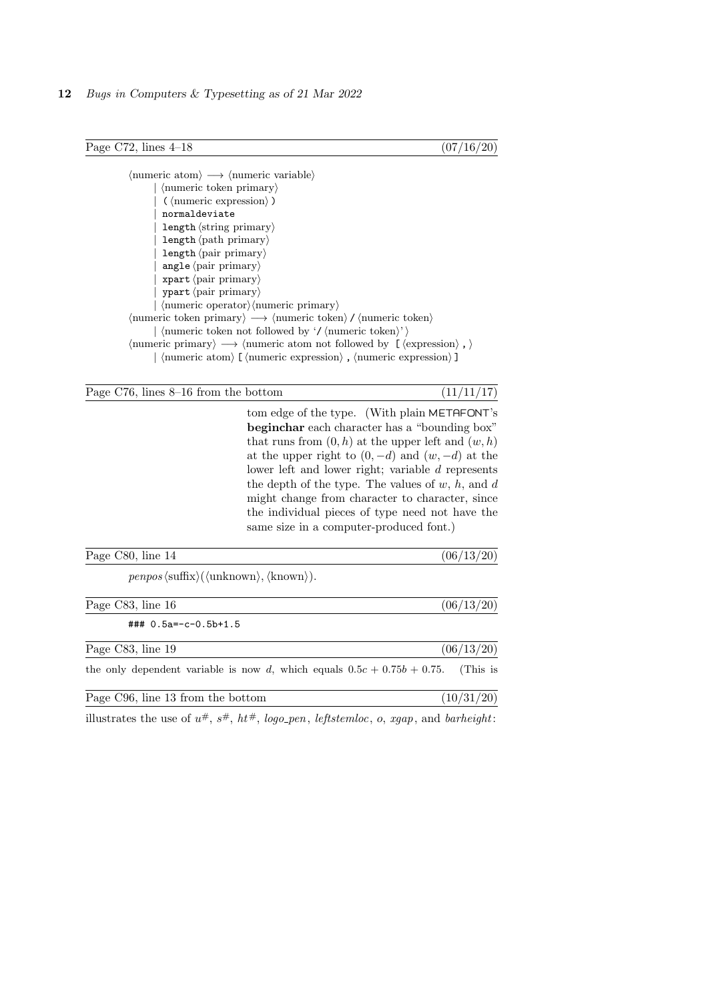Page C72, lines  $4-18$  (07/16/20)

 $\langle$ numeric atom $\rangle \longrightarrow \langle$ numeric variable $\rangle$  $|\mbox{} \langle \mbox{} numberic$  token primary)  $(\langle$  numeric expression $\rangle$ ) normaldeviate  $length \langle string \; primary \rangle$  $length \langle path \; primary \rangle$ length (pair primary) angle  $\langle$  pair primary $\rangle$  $xpart$  (pair primary) ypart (pair primary)  $\langle$  numeric operator $\rangle$  $\langle$  numeric primary $\rangle$  $\langle$ numeric token primary $\rangle \longrightarrow \langle$ numeric token $\rangle$  /  $\langle$ numeric token $\rangle$  $\langle$  humeric token not followed by '/  $\langle$  humeric token $\rangle$ ' $\rangle$  $\langle$  humeric primary $\rangle \longrightarrow \langle$  humeric atom not followed by [ $\langle$  expression $\rangle$ ,  $\rangle$  $\vert$  (numeric atom) [ (numeric expression) , (numeric expression) ]

Page C76, lines  $8-16$  from the bottom (11/11/17)

tom edge of the type. (With plain METAFONT's beginchar each character has a "bounding box" that runs from  $(0, h)$  at the upper left and  $(w, h)$ at the upper right to  $(0, -d)$  and  $(w, -d)$  at the lower left and lower right; variable d represents the depth of the type. The values of  $w$ ,  $h$ , and  $d$ might change from character to character, since the individual pieces of type need not have the same size in a computer-produced font.)

| Page C80, line 14                                                                                      | (06/13/20) |
|--------------------------------------------------------------------------------------------------------|------------|
| $penpos \langle \text{suffix} \rangle (\langle \text{unknown} \rangle, \langle \text{known} \rangle).$ |            |
| Page C83, line 16                                                                                      | (06/13/20) |
| $\#$ ## 0.5a=-c-0.5b+1.5                                                                               |            |
| Page C83, line 19                                                                                      | (06/13/20) |
| the only dependent variable is now d, which equals $0.5c + 0.75b + 0.75$ .                             | (This is   |
| Page C96, line 13 from the bottom                                                                      | (10/31/20) |

illustrates the use of  $u^{\#}, s^{\#}, ht^{\#}, logo\_pen, left stemloc, o, xgap, and barheight:$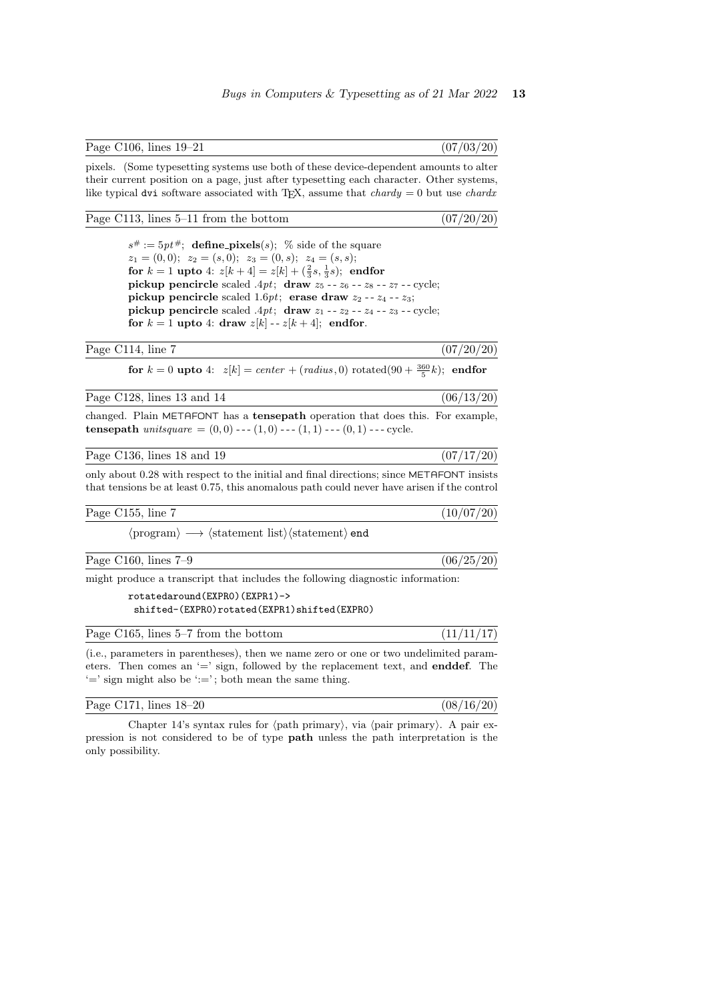Page C106, lines  $19-21$  (07/03/20)

pixels. (Some typesetting systems use both of these device-dependent amounts to alter their current position on a page, just after typesetting each character. Other systems, like typical dvi software associated with T<sub>E</sub>X, assume that *chardy* = 0 but use *chardx* 

### Page C113, lines  $5-11$  from the bottom  $(07/20/20)$

 $s^{\#} := 5pt^{\#}$ ; define pixels(s); % side of the square  $z_1 = (0, 0); \ z_2 = (s, 0); \ z_3 = (0, s); \ z_4 = (s, s);$ for  $k = 1$  upto 4:  $z[k+4] = z[k] + (\frac{2}{3}s, \frac{1}{3}s)$ ; endfor pickup pencircle scaled  $.4pt$ ; draw  $z_5 - z_6 - z_8 - z_7 -$  cycle; pickup pencircle scaled 1.6pt; erase draw  $z_2 - z_4 - z_3$ ; pickup pencircle scaled  $.4pt$ ; draw  $z_1 - z_2 - z_4 - z_3 -$  cycle; for  $k = 1$  upto 4: draw  $z[k]$  --  $z[k+4]$ ; endfor.

### Page C114, line 7 (07/20/20)

**for**  $k = 0$  **upto** 4:  $z[k] = center + (radius, 0) \text{ rotated}(90 + \frac{360}{5}k);$  **endfor** 

| Page C128, lines 13 and 14 |  |  |  |  |  |
|----------------------------|--|--|--|--|--|
|----------------------------|--|--|--|--|--|

 $(06/13/20)$ 

changed. Plain METAFONT has a tensepath operation that does this. For example, tensepath unitsquare  $= (0, 0)$  --- $(1, 0)$  --- $(1, 1)$  --- $(0, 1)$  --- cycle.

Page C136, lines 18 and 19  $(07/17/20)$ 

only about  $0.28$  with respect to the initial and final directions; since METAFONT insists that tensions be at least 0.75, this anomalous path could never have arisen if the control

Page C155, line 7 (10/07/20)

 $\langle$ program $\rangle \longrightarrow \langle$ statement list $\rangle \langle$ statement $\rangle$  end

Page C160, lines  $7-9$  (06/25/20)

might produce a transcript that includes the following diagnostic information:

```
rotatedaround(EXPR0)(EXPR1)->
shifted-(EXPR0)rotated(EXPR1)shifted(EXPR0)
```

| Page $C165$ , lines $5-7$ from the bottom |  | (11/11/17) |  |  |
|-------------------------------------------|--|------------|--|--|
|-------------------------------------------|--|------------|--|--|

(i.e., parameters in parentheses), then we name zero or one or two undelimited parameters. Then comes an  $=$ ' sign, followed by the replacement text, and **enddef**. The  $'$  =' sign might also be ':='; both mean the same thing.

| Page C171, lines 18-20 | (08/16/20) |
|------------------------|------------|
|------------------------|------------|

Chapter 14's syntax rules for  $\langle$  path primary $\rangle$ , via  $\langle$  pair primary $\rangle$ . A pair expression is not considered to be of type path unless the path interpretation is the only possibility.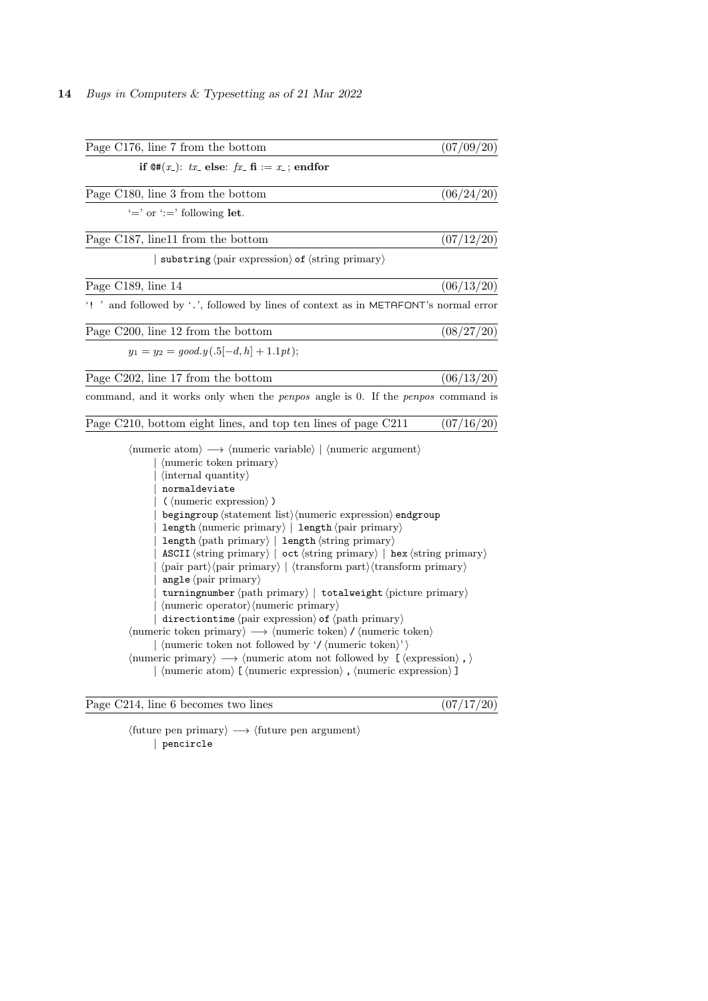| Page C176, line 7 from the bottom                                                                                                                                                                                                                                                                                                                                                                                                                                                                                                                                                                                                                                                                                                                                                                                                                                                                                                                                                                                                                                                                                                                                                                                                                                                                                                                                                 | (07/09/20) |
|-----------------------------------------------------------------------------------------------------------------------------------------------------------------------------------------------------------------------------------------------------------------------------------------------------------------------------------------------------------------------------------------------------------------------------------------------------------------------------------------------------------------------------------------------------------------------------------------------------------------------------------------------------------------------------------------------------------------------------------------------------------------------------------------------------------------------------------------------------------------------------------------------------------------------------------------------------------------------------------------------------------------------------------------------------------------------------------------------------------------------------------------------------------------------------------------------------------------------------------------------------------------------------------------------------------------------------------------------------------------------------------|------------|
| if $\mathfrak{Q#}(x_-)$ : tx_ else: fx_ fi := x_; endfor                                                                                                                                                                                                                                                                                                                                                                                                                                                                                                                                                                                                                                                                                                                                                                                                                                                                                                                                                                                                                                                                                                                                                                                                                                                                                                                          |            |
| Page C180, line 3 from the bottom                                                                                                                                                                                                                                                                                                                                                                                                                                                                                                                                                                                                                                                                                                                                                                                                                                                                                                                                                                                                                                                                                                                                                                                                                                                                                                                                                 | (06/24/20) |
| $' ='$ or $' :='$ following let.                                                                                                                                                                                                                                                                                                                                                                                                                                                                                                                                                                                                                                                                                                                                                                                                                                                                                                                                                                                                                                                                                                                                                                                                                                                                                                                                                  |            |
| Page C187, line11 from the bottom                                                                                                                                                                                                                                                                                                                                                                                                                                                                                                                                                                                                                                                                                                                                                                                                                                                                                                                                                                                                                                                                                                                                                                                                                                                                                                                                                 | (07/12/20) |
| $\vert$ substring $\langle$ pair expression $\rangle$ of $\langle$ string primary $\rangle$                                                                                                                                                                                                                                                                                                                                                                                                                                                                                                                                                                                                                                                                                                                                                                                                                                                                                                                                                                                                                                                                                                                                                                                                                                                                                       |            |
| Page C189, line 14                                                                                                                                                                                                                                                                                                                                                                                                                                                                                                                                                                                                                                                                                                                                                                                                                                                                                                                                                                                                                                                                                                                                                                                                                                                                                                                                                                | (06/13/20) |
| '! ' and followed by '.', followed by lines of context as in METAFONT's normal error                                                                                                                                                                                                                                                                                                                                                                                                                                                                                                                                                                                                                                                                                                                                                                                                                                                                                                                                                                                                                                                                                                                                                                                                                                                                                              |            |
| Page C200, line 12 from the bottom                                                                                                                                                                                                                                                                                                                                                                                                                                                                                                                                                                                                                                                                                                                                                                                                                                                                                                                                                                                                                                                                                                                                                                                                                                                                                                                                                | (08/27/20) |
| $y_1 = y_2 = good.y(.5[-d, h] + 1.1pt);$                                                                                                                                                                                                                                                                                                                                                                                                                                                                                                                                                                                                                                                                                                                                                                                                                                                                                                                                                                                                                                                                                                                                                                                                                                                                                                                                          |            |
| Page C202, line 17 from the bottom                                                                                                                                                                                                                                                                                                                                                                                                                                                                                                                                                                                                                                                                                                                                                                                                                                                                                                                                                                                                                                                                                                                                                                                                                                                                                                                                                | (06/13/20) |
| command, and it works only when the <i>penpos</i> angle is 0. If the <i>penpos</i> command is                                                                                                                                                                                                                                                                                                                                                                                                                                                                                                                                                                                                                                                                                                                                                                                                                                                                                                                                                                                                                                                                                                                                                                                                                                                                                     |            |
| Page C210, bottom eight lines, and top ten lines of page C211                                                                                                                                                                                                                                                                                                                                                                                                                                                                                                                                                                                                                                                                                                                                                                                                                                                                                                                                                                                                                                                                                                                                                                                                                                                                                                                     | (07/16/20) |
| $\langle$ numeric atom $\rangle \longrightarrow \langle$ numeric variable $\rangle$   $\langle$ numeric argument $\rangle$<br>$\vert$ (numeric token primary)<br>$\langle$ internal quantity $\rangle$<br>normaldeviate<br>$(\langle$ numeric expression $\rangle$ )<br>$begin{cases} \frac{1}{2} & \text{otherwise} \end{cases}$<br>length $\langle$ numeric primary $\rangle$   length $\langle$ pair primary $\rangle$<br>$length \langle path \; primary \rangle$   $length \langle string \; primary \rangle$<br>$\texttt{ASCII} \langle \text{string primary} \rangle \mid \texttt{oct} \langle \text{string primary} \rangle \mid \texttt{hex} \langle \text{string primary} \rangle$<br>$\langle$ pair part $\rangle$ $\langle$ pair primary $\rangle$   $\langle$ transform part $\rangle$ $\langle$ transform primary $\rangle$<br>angle $\langle$ pair primary $\rangle$<br>turning number $\langle$ path primary $\rangle$   total weight $\langle$ picture primary $\rangle$<br>$\langle$ numeric operator $\rangle$ $\langle$ numeric primary $\rangle$<br>directiontime $\langle$ pair expression $\rangle$ of $\langle$ path primary $\rangle$<br>$\langle$ numeric token primary $\rangle \longrightarrow \langle$ numeric token $\rangle / \langle$ numeric token $\rangle$<br>$\langle$ (numeric token not followed by '/ $\langle$ numeric token $\rangle$ ') |            |
| $\langle$ numeric primary $\rangle \longrightarrow \langle$ numeric atom not followed by [ $\langle$ expression $\rangle$ , $\rangle$<br>$\vert$ (numeric atom) [(numeric expression), (numeric expression)]                                                                                                                                                                                                                                                                                                                                                                                                                                                                                                                                                                                                                                                                                                                                                                                                                                                                                                                                                                                                                                                                                                                                                                      |            |
|                                                                                                                                                                                                                                                                                                                                                                                                                                                                                                                                                                                                                                                                                                                                                                                                                                                                                                                                                                                                                                                                                                                                                                                                                                                                                                                                                                                   |            |

Page C214, line 6 becomes two lines  $(07/17/20)$ 

 $\langle$  future pen primary $\rangle \longrightarrow \langle$  future pen argument $\rangle$ | pencircle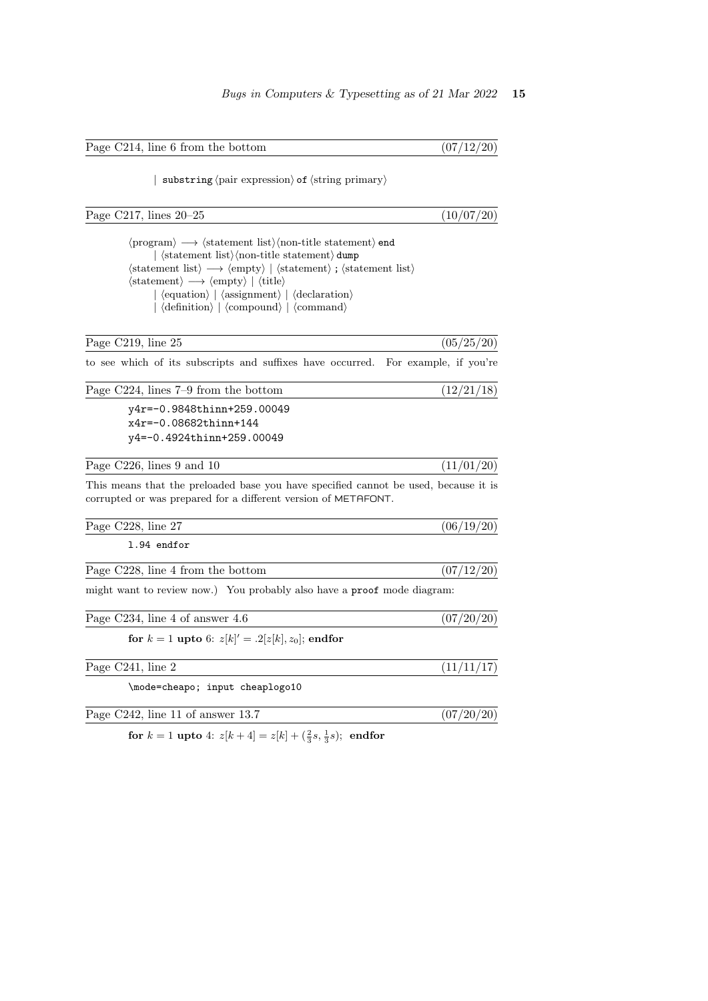Page C214, line 6 from the bottom  $(07/12/20)$ 

| substring  $\langle$  pair expression $\rangle$  of  $\langle$  string primary $\rangle$ 

Page C217, lines  $20-25$  (10/07/20)

 $\langle program \rangle \longrightarrow \langle statement list \rangle$  (non-title statement) end  $\vert$   $\langle$  statement list $\rangle$  $\langle$  non-title statement $\rangle$  dump  $\langle$ statement list $\rangle \longrightarrow \langle \text{empty} \rangle | \langle \text{statement} \rangle$ ;  $\langle \text{statement list} \rangle$  $\langle statement \rangle \longrightarrow \langle empty \rangle | \langle title \rangle$  $\vert$   $\langle$  equation $\rangle$   $\vert$   $\langle$  declaration $\rangle$  $\langle \text{definition} \rangle$   $\langle \text{compound} \rangle$   $\langle \text{command} \rangle$ 

to see which of its subscripts and suffixes have occurred. For example, if you're

Page C219, line 25  $(05/25/20)$ 

Page C224, lines  $7-9$  from the bottom  $(12/21/18)$ y4r=-0.9848thinn+259.00049 x4r=-0.08682thinn+144 y4=-0.4924thinn+259.00049

Page C226, lines 9 and 10  $(11/01/20)$ 

This means that the preloaded base you have specified cannot be used, because it is corrupted or was prepared for a different version of METAFONT.

| Page C228, line 27                                                      | (06/19/20) |
|-------------------------------------------------------------------------|------------|
| 1.94 endfor                                                             |            |
| Page C228, line 4 from the bottom                                       | (07/12/20) |
| might want to review now.) You probably also have a proof mode diagram: |            |
| Page C234, line 4 of answer 4.6                                         | (07/20/20) |

for  $k = 1$  upto 6:  $z[k]' = .2[z[k], z_0]$ ; endfor

| Page C241, line 2 |
|-------------------|
|-------------------|

\mode=cheapo; input cheaplogo10

Page C242, line 11 of answer 13.7  $(07/20/20)$ 

 $(11/11/17)$ 

for  $k = 1$  upto 4:  $z[k+4] = z[k] + (\frac{2}{3}s, \frac{1}{3}s)$ ; endfor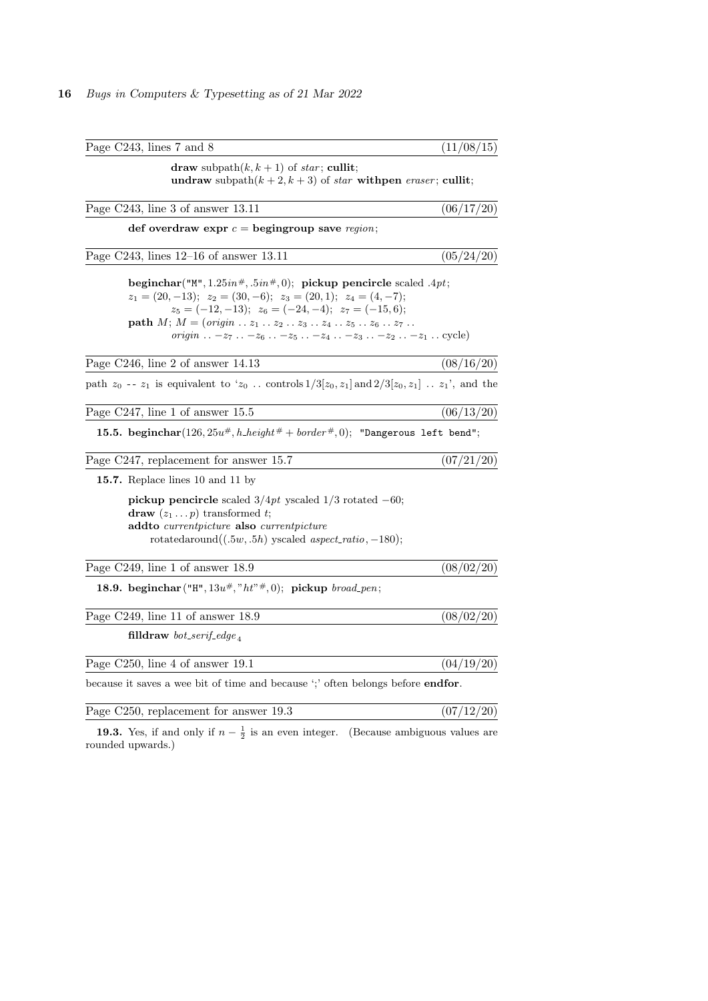| Page C243, lines 7 and 8                                                                                                                                                                                                                                                                                                                                                                                        | (11/08/15) |
|-----------------------------------------------------------------------------------------------------------------------------------------------------------------------------------------------------------------------------------------------------------------------------------------------------------------------------------------------------------------------------------------------------------------|------------|
| draw subpath $(k, k + 1)$ of <i>star</i> ; cullit;<br>undraw subpath $(k + 2, k + 3)$ of star with pen eraser; cullit;                                                                                                                                                                                                                                                                                          |            |
| Page C243, line 3 of answer 13.11                                                                                                                                                                                                                                                                                                                                                                               | (06/17/20) |
| def overdraw expr $c =$ begingroup save region;                                                                                                                                                                                                                                                                                                                                                                 |            |
| Page C243, lines 12-16 of answer 13.11                                                                                                                                                                                                                                                                                                                                                                          | (05/24/20) |
| beginchar("M", $1.25in^{\#}, .5in^{\#}, 0$ ); pickup pencircle scaled .4pt;<br>$z_1 = (20, -13); z_2 = (30, -6); z_3 = (20, 1); z_4 = (4, -7);$<br>$z_5 = (-12, -13); z_6 = (-24, -4); z_7 = (-15, 6);$<br><b>path</b> $M$ ; $M = (origin \dots z_1 \dots z_2 \dots z_3 \dots z_4 \dots z_5 \dots z_6 \dots z_7 \dots$<br><i>origin</i> . $-z_7$ . $-z_6$ . $-z_5$ . $-z_4$ . $-z_3$ . $-z_2$ . $-z_1$ . cycle) |            |
| Page C246, line 2 of answer 14.13                                                                                                                                                                                                                                                                                                                                                                               | (08/16/20) |
| path $z_0$ -- $z_1$ is equivalent to ' $z_0$ controls $1/3[z_0, z_1]$ and $2/3[z_0, z_1]$ $z_1$ ', and the                                                                                                                                                                                                                                                                                                      |            |
| Page C247, line 1 of answer 15.5                                                                                                                                                                                                                                                                                                                                                                                | (06/13/20) |
| 15.5. beginchar(126, $25u^{\#}$ , $h$ <sub>-</sub> height <sup>#</sup> + border <sup>#</sup> , 0); "Dangerous left bend";                                                                                                                                                                                                                                                                                       |            |
| Page C247, replacement for answer 15.7                                                                                                                                                                                                                                                                                                                                                                          | (07/21/20) |
| 15.7. Replace lines 10 and 11 by                                                                                                                                                                                                                                                                                                                                                                                |            |
| pickup pencircle scaled $3/4pt$ yscaled $1/3$ rotated $-60$ ;<br><b>draw</b> $(z_1 \tldots p)$ transformed t;<br>addto currentpicture also currentpicture<br>rotatedaround $((.5w, .5h)$ yscaled aspect_ratio, -180);                                                                                                                                                                                           |            |
| Page C249, line 1 of answer 18.9                                                                                                                                                                                                                                                                                                                                                                                | (08/02/20) |
| <b>18.9.</b> beginchar ("H", $13u^{\#}$ , "ht" $^{\#}$ , 0); pickup broad_pen;                                                                                                                                                                                                                                                                                                                                  |            |
| Page C249, line 11 of answer 18.9                                                                                                                                                                                                                                                                                                                                                                               | (08/02/20) |
| filldraw bot_serif_edge <sub><math>4</math></sub>                                                                                                                                                                                                                                                                                                                                                               |            |
| Page C250, line 4 of answer 19.1                                                                                                                                                                                                                                                                                                                                                                                | (04/19/20) |
| because it saves a wee bit of time and because "; often belongs before endfor.                                                                                                                                                                                                                                                                                                                                  |            |
| Page C250, replacement for answer 19.3                                                                                                                                                                                                                                                                                                                                                                          | (07/12/20) |

**19.3.** Yes, if and only if  $n - \frac{1}{2}$  is an even integer. (Because ambiguous values are rounded upwards.)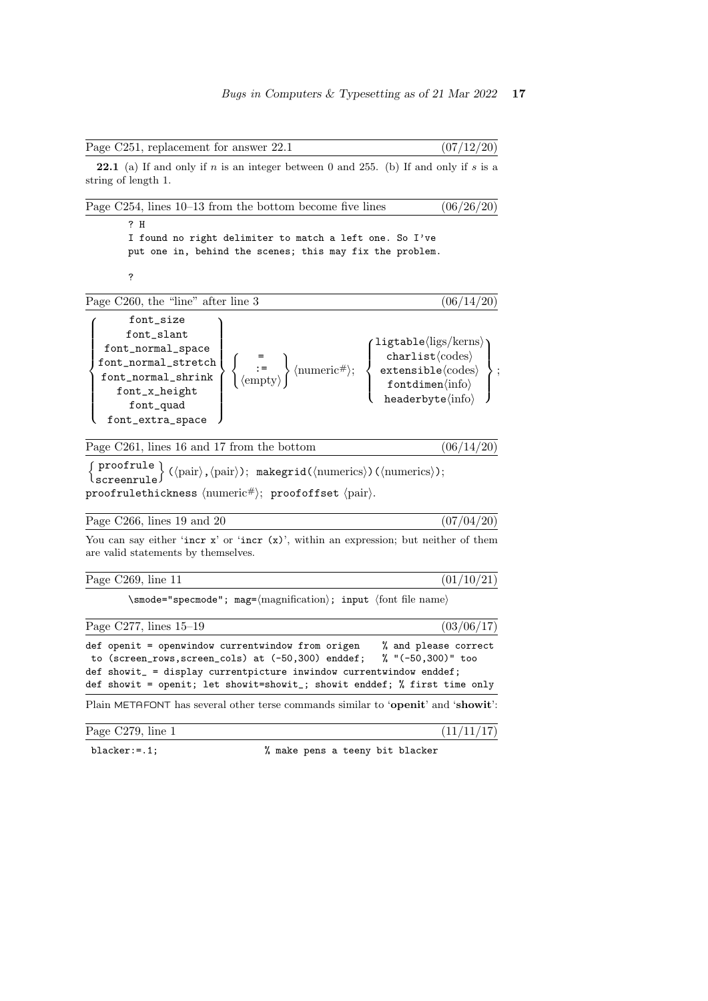|--|

**22.1** (a) If and only if n is an integer between 0 and 255. (b) If and only if s is a string of length 1

| Page $C254$ , lines $10-13$ from the bottom become five lines                                                                                                                                                                                                                                                                                                                                                                                                                                                                                                                                                                   | (06/26/20) |
|---------------------------------------------------------------------------------------------------------------------------------------------------------------------------------------------------------------------------------------------------------------------------------------------------------------------------------------------------------------------------------------------------------------------------------------------------------------------------------------------------------------------------------------------------------------------------------------------------------------------------------|------------|
| ? H<br>I found no right delimiter to match a left one. So I've<br>put one in, behind the scenes; this may fix the problem.                                                                                                                                                                                                                                                                                                                                                                                                                                                                                                      |            |
| ?                                                                                                                                                                                                                                                                                                                                                                                                                                                                                                                                                                                                                               |            |
| Page C260, the "line" after line 3                                                                                                                                                                                                                                                                                                                                                                                                                                                                                                                                                                                              | (06/14/20) |
| font_size<br>font_slant<br>$\begin{tabular}{l c c} font\_normal\_space & & & & \textbf{left}(log/kerns) \\ font\_normal\_stretch & & & & \textbf{charlist}(codes) \\ font\_normal\_shrink & & & \textbf{quad} \\ font\_x\_height & & & & \textbf{format} \\ font\_quad & & & & \textbf{format} \\end{tabular} \end{tabular} \hspace{1em} \begin{tabular}{l c c c} & & & \textbf{right}(log/kerns) \\ & & & \textbf{charlist}(codes) \\ & & & & \textbf{extensible}(codes) \\ & & & & \textbf{format} \\ & & & & \textbf{format} \\ & & & & \textbf{head} \\ & & & & \textbf{head} \\ \end{tab$<br>font_quad<br>font_extra_space |            |
| Page C261, lines 16 and 17 from the bottom                                                                                                                                                                                                                                                                                                                                                                                                                                                                                                                                                                                      | (06/14/20  |
|                                                                                                                                                                                                                                                                                                                                                                                                                                                                                                                                                                                                                                 |            |

proofrulethickness  $\langle$ numeric# $\rangle$ ; proofoffset  $\langle$ pair $\rangle$ .

Page C266, lines 19 and 20  $(07/04/20)$ 

 $(01/10/21)$ 

 $(07/12/20)$ 

You can say either 'incr  $x'$  or 'incr  $(x)$ ', within an expression; but neither of them are valid statements by themselves.

| Page C269, line 11 |  |
|--------------------|--|
|                    |  |

 $\verb|\smode="specmode"; mag=\langle magnification\rangle; input \hspace{2mm} (font file name)$ 

Page C277, lines  $15-19$  (03/06/17) def openit = openwindow currentwindow from origen  $%$  and please correct to (screen\_rows,screen\_cols) at (-50,300) enddef;  $%$  "(-50,300)" too to  $(\text{screen\_rows}, \text{screen\_cols})$  at  $(-50,300)$  enddef;

def showit = openit; let showit=showit\_; showit enddef; % first time only

def showit\_ = display currentpicture inwindow currentwindow enddef;

Plain METAFONT has several other terse commands similar to 'openit' and 'showit':

Page C279, line 1  $(11/11/17)$ 

blacker: = .1;  $\frac{1}{1}$  % make pens a teeny bit blacker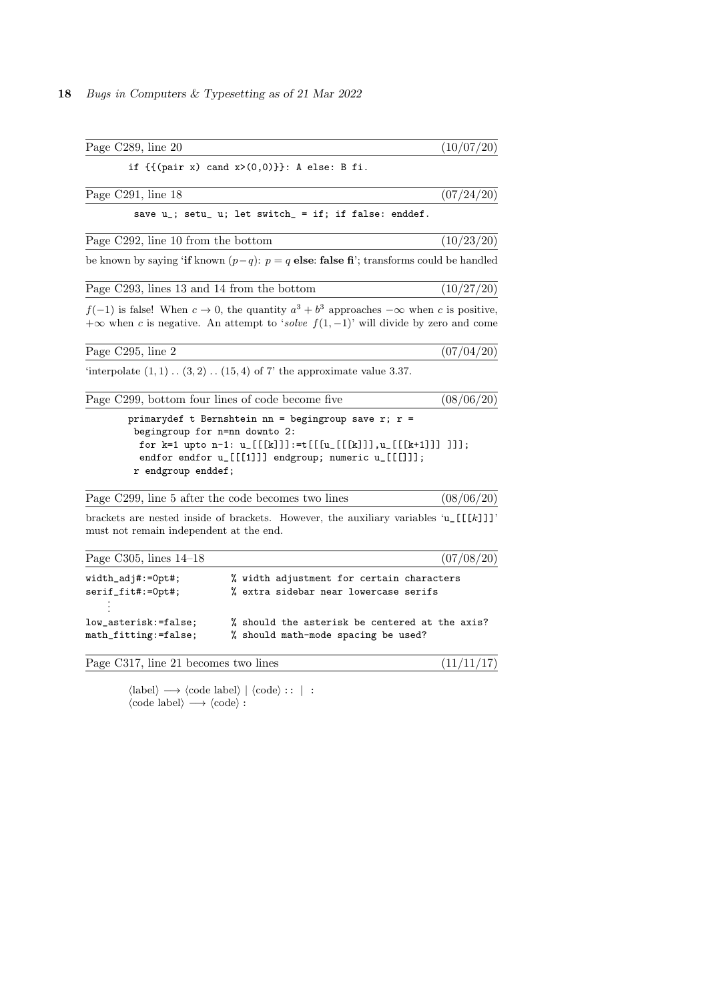| Page C289, line 20                           |                                                                                                                                                                                                                        | (10/07/20) |
|----------------------------------------------|------------------------------------------------------------------------------------------------------------------------------------------------------------------------------------------------------------------------|------------|
|                                              | if $\{(\text{pair } x) \text{ cand } x > (0,0)\}\}\$ : A else: B fi.                                                                                                                                                   |            |
| Page C291, line 18                           |                                                                                                                                                                                                                        | (07/24/20) |
|                                              | save u_; setu_ u; let switch_ = if; if false: enddef.                                                                                                                                                                  |            |
| Page C292, line 10 from the bottom           |                                                                                                                                                                                                                        | (10/23/20) |
|                                              | be known by saying 'if known $(p-q)$ : $p = q$ else: false fi'; transforms could be handled                                                                                                                            |            |
| Page C293, lines 13 and 14 from the bottom   |                                                                                                                                                                                                                        | (10/27/20) |
|                                              | $f(-1)$ is false! When $c \to 0$ , the quantity $a^3 + b^3$ approaches $-\infty$ when c is positive,<br>$+\infty$ when c is negative. An attempt to 'solve $f(1,-1)$ ' will divide by zero and come                    |            |
| Page C295, line 2                            |                                                                                                                                                                                                                        | (07/04/20) |
|                                              | 'interpolate $(1,1)$ $(3,2)$ $(15,4)$ of 7' the approximate value 3.37.                                                                                                                                                |            |
|                                              | Page C299, bottom four lines of code become five                                                                                                                                                                       | (08/06/20) |
| r endgroup enddef;                           | primarydef t Bernshtein nn = begingroup save r; $r =$<br>begingroup for n=nn downto 2:<br>for k=1 upto n-1: u_[[[k]]]:=t[[[u_[[[k]]],u_[[[k+1]]] ]]];<br>endfor endfor $u_{-}[[1]]$ ] endgroup; numeric $u_{-}[[1]]$ ; |            |
|                                              | Page C299, line 5 after the code becomes two lines                                                                                                                                                                     | (08/06/20) |
| must not remain independent at the end.      | brackets are nested inside of brackets. However, the auxiliary variables $\mathfrak{u}_{\text{r}}[[k]]$                                                                                                                |            |
| Page C305, lines $14-18$                     |                                                                                                                                                                                                                        | (07/08/20) |
| $width\_adj#:=Opt#;$<br>serif_fit#:=0pt#;    | % width adjustment for certain characters<br>% extra sidebar near lowercase serifs                                                                                                                                     |            |
| low_asterisk:=false;<br>math_fitting:=false; | % should the asterisk be centered at the axis?<br>% should math-mode spacing be used?                                                                                                                                  |            |
| Page C317, line 21 becomes two lines         |                                                                                                                                                                                                                        | (11/11/17) |

 $\langle \text{label} \rangle \longrightarrow \langle \text{code label} \rangle | \langle \text{code} : : | :$  $\langle \text{code label} \rangle \longrightarrow \langle \text{code} \rangle :$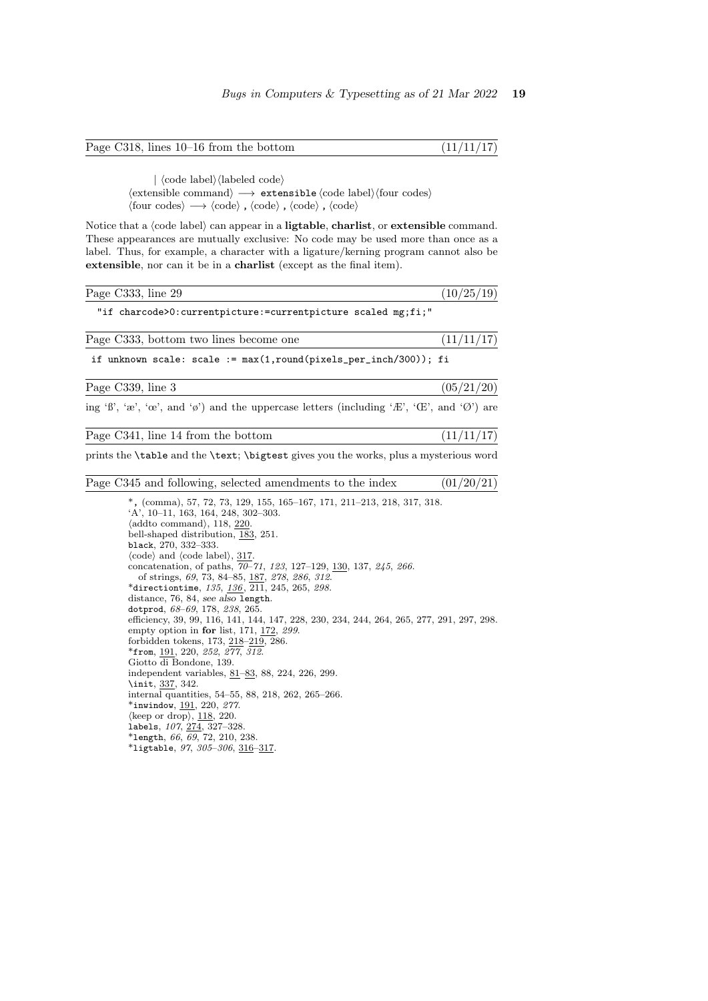Page C318, lines 10–16 from the bottom  $(11/11/17)$ 

 $|\braket{\text{code label}}\braket{\text{labelled code}}$  $\langle$  extensible command $\rangle \longrightarrow$  extensible  $\langle$  code label $\rangle$  $\langle$  four codes $\rangle$  $\langle \text{four codes} \rangle \longrightarrow \langle \text{code} \rangle$ ,  $\langle \text{code} \rangle$ ,  $\langle \text{code} \rangle$ ,  $\langle \text{code} \rangle$ 

Notice that a (code label) can appear in a ligtable, charlist, or extensible command. These appearances are mutually exclusive: No code may be used more than once as a label. Thus, for example, a character with a ligature/kerning program cannot also be extensible, nor can it be in a charlist (except as the final item).

| Page C333, line 29                                                                                                                                                                                                                                                                                                                                                                                                                                                                                                                                                                                                                                                                                                                                                                                                                                                                                                                                                                                                                                                                                                                                             | (10/25/19) |
|----------------------------------------------------------------------------------------------------------------------------------------------------------------------------------------------------------------------------------------------------------------------------------------------------------------------------------------------------------------------------------------------------------------------------------------------------------------------------------------------------------------------------------------------------------------------------------------------------------------------------------------------------------------------------------------------------------------------------------------------------------------------------------------------------------------------------------------------------------------------------------------------------------------------------------------------------------------------------------------------------------------------------------------------------------------------------------------------------------------------------------------------------------------|------------|
| "if charcode>0: currentpicture: = currentpicture scaled mg;fi;"                                                                                                                                                                                                                                                                                                                                                                                                                                                                                                                                                                                                                                                                                                                                                                                                                                                                                                                                                                                                                                                                                                |            |
| Page C333, bottom two lines become one                                                                                                                                                                                                                                                                                                                                                                                                                                                                                                                                                                                                                                                                                                                                                                                                                                                                                                                                                                                                                                                                                                                         | (11/11/17) |
| if unknown scale: $scale := max(1, round(pixels_per_inch/300));$ fi                                                                                                                                                                                                                                                                                                                                                                                                                                                                                                                                                                                                                                                                                                                                                                                                                                                                                                                                                                                                                                                                                            |            |
| Page C339, line 3                                                                                                                                                                                                                                                                                                                                                                                                                                                                                                                                                                                                                                                                                                                                                                                                                                                                                                                                                                                                                                                                                                                                              | (05/21/20) |
| ing 'B', 'æ', 'œ', and 'ø') and the uppercase letters (including 'Æ', 'Œ', and 'Ø') are                                                                                                                                                                                                                                                                                                                                                                                                                                                                                                                                                                                                                                                                                                                                                                                                                                                                                                                                                                                                                                                                        |            |
| Page C341, line 14 from the bottom                                                                                                                                                                                                                                                                                                                                                                                                                                                                                                                                                                                                                                                                                                                                                                                                                                                                                                                                                                                                                                                                                                                             | (11/11/17) |
| prints the <b>\table</b> and the <b>\text</b> ; <b>\bigtest</b> gives you the works, plus a mysterious word                                                                                                                                                                                                                                                                                                                                                                                                                                                                                                                                                                                                                                                                                                                                                                                                                                                                                                                                                                                                                                                    |            |
| Page C345 and following, selected amendments to the index                                                                                                                                                                                                                                                                                                                                                                                                                                                                                                                                                                                                                                                                                                                                                                                                                                                                                                                                                                                                                                                                                                      | (01/20/21) |
| *, (comma), 57, 72, 73, 129, 155, 165-167, 171, 211-213, 218, 317, 318.<br>$'A$ ', 10-11, 163, 164, 248, 302-303.<br>$\langle \text{addto command} \rangle$ , 118, 220.<br>bell-shaped distribution, 183, 251.<br>black, 270, 332-333.<br>$\langle \text{code} \rangle$ and $\langle \text{code label} \rangle$ , 317.<br>concatenation, of paths, 70-71, 123, 127-129, 130, 137, 245, 266.<br>of strings, 69, 73, 84-85, 187, 278, 286, 312.<br>*directiontime, $135, 136, 211, 245, 265, 298$ .<br>distance, 76, 84, see also length.<br>dotprod, $68-69$ , 178, 238, 265.<br>efficiency, 39, 99, 116, 141, 144, 147, 228, 230, 234, 244, 264, 265, 277, 291, 297, 298.<br>empty option in for list, $171, 172, 299$ .<br>forbidden tokens, 173, 218-219, 286.<br>$*from, 191, 220, 252, 277, 312.$<br>Giotto di Bondone, 139.<br>independent variables, 81–83, 88, 224, 226, 299.<br>\init, 337, 342.<br>internal quantities, 54–55, 88, 218, 262, 265–266.<br>*inwindow, 191, 220, $277$ .<br>$\langle \text{keep or drop} \rangle$ , 118, 220.<br>labels, 107, 274, 327-328.<br>*length, 66, 69, 72, 210, 238.<br>*ligtable, $97, 305 - 306, 316 - 317$ . |            |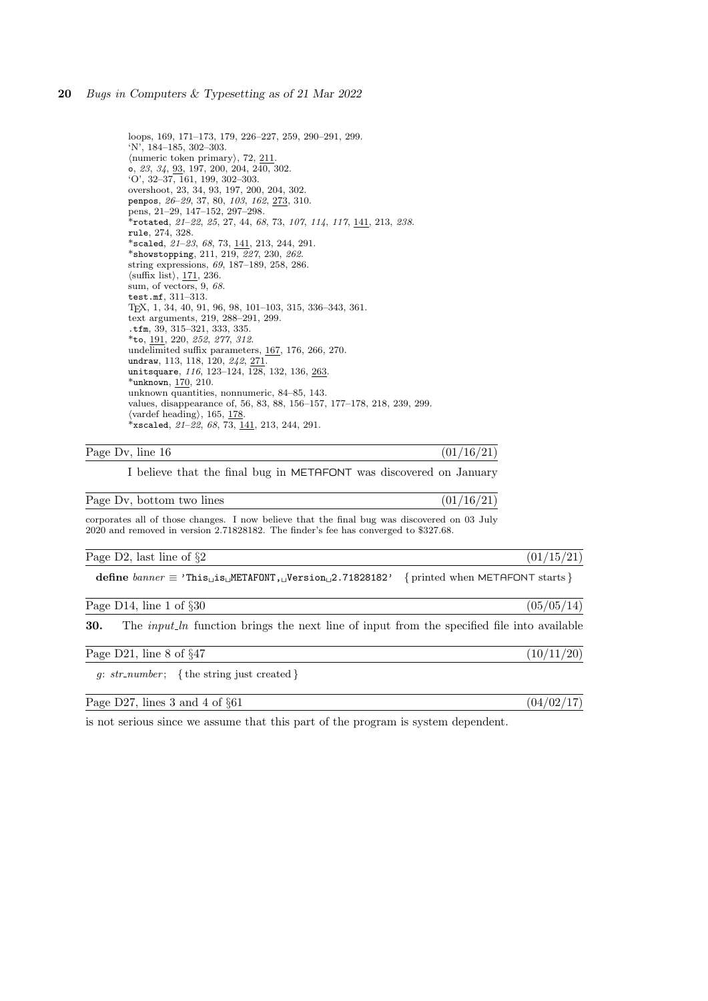loops, 169, 171–173, 179, 226–227, 259, 290–291, 299. 'N', 184–185, 302–303.  $\langle$ numeric token primary $\rangle$ , 72, 211. o, 23, 34, 93, 197, 200, 204, 240, 302. 'O', 32–37, 161, 199, 302–303. overshoot, 23, 34, 93, 197, 200, 204, 302. penpos, 26–29, 37, 80, 103, 162, 273, 310. pens, 21–29, 147–152, 297–298. \*rotated,  $21-22$ ,  $25$ ,  $27$ ,  $44$ ,  $68$ ,  $73$ ,  $107$ ,  $114$ ,  $117$ ,  $141$ ,  $213$ ,  $238$ . rule, 274, 328. \*scaled, 21–23, 68, 73, 141, 213, 244, 291. \*showstopping, 211, 219, 227, 230, 262. string expressions, 69, 187–189, 258, 286.  $\langle \text{suffix list} \rangle, \frac{171}{236}.$ sum, of vectors, 9, 68. test.mf, 311–313. TEX, 1, 34, 40, 91, 96, 98, 101–103, 315, 336–343, 361. text arguments, 219, 288–291, 299. .tfm, 39, 315–321, 333, 335. \*to, 191, 220, 252, 277, 312. undelimited suffix parameters, 167, 176, 266, 270. undraw, 113, 118, 120, 242, <u>271</u>. unitsquare, 116, 123-124, 128, 132, 136, <u>263</u>. \*unknown, 170, 210. unknown quantities, nonnumeric, 84–85, 143. values, disappearance of, 56, 83, 88, 156–157, 177–178, 218, 239, 299.  $\langle$ vardef heading $\rangle$ , 165, 178. \*xscaled,  $21-22$ , 68, 73, 141, 213, 244, 291.

# Page Dv, line  $16$  (01/16/21)

I believe that the final bug in METAFONT was discovered on January

Page Dv, bottom two lines  $(01/16/21)$ corporates all of those changes. I now believe that the final bug was discovered on 03 July

2020 and removed in version 2.71828182. The finder's fee has converged to \$327.68.

Page D2, last line of  $\S2$  (01/15/21)

define  $banner \equiv 'This_\sqcup is_\sqcup \texttt{METAFONT}$ ,  $_\sqcup \texttt{Version}_\sqcup 2.71828182'$  {printed when  $\texttt{METAFONT}$  starts }

Page D14, line 1 of  $\S 30$  (05/05/14)

30. The *input ln* function brings the next line of input from the specified file into available

| Page $D21$ , line 8 of $\S 47$ |  |  |  |
|--------------------------------|--|--|--|
|--------------------------------|--|--|--|

g:  $str_number$ ; { the string just created }

Page D27, lines 3 and 4 of §61 (04/02/17)

is not serious since we assume that this part of the program is system dependent.

 $(10/11/20)$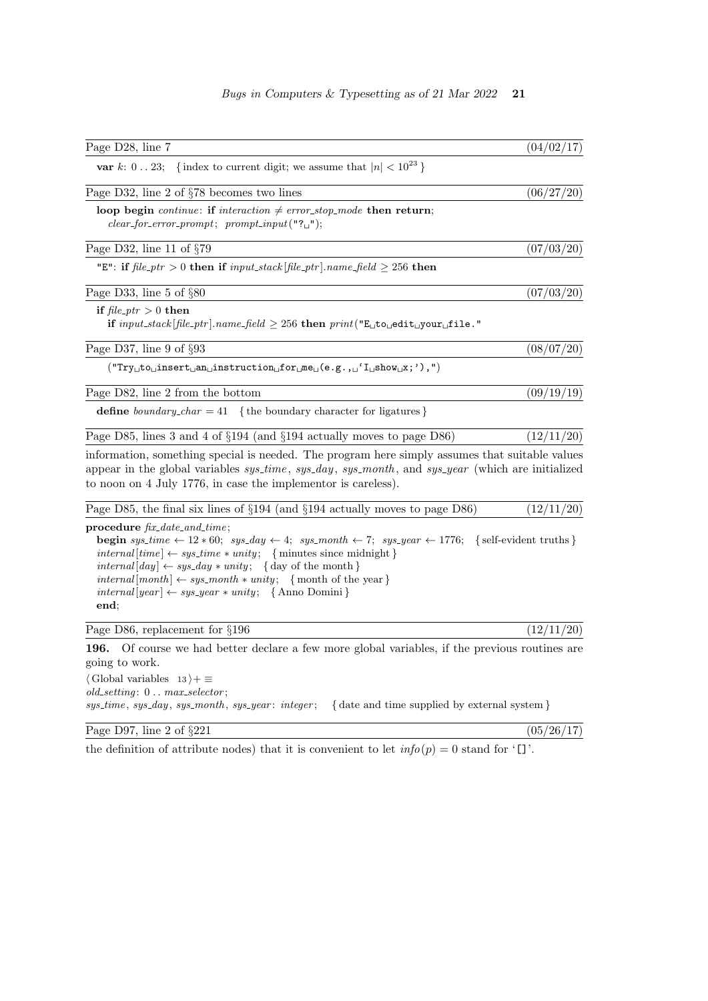| Page D28, line 7                                                                                                                                                                                                                                                                                                                                                                                                                                                                                                        | (04/02/17) |
|-------------------------------------------------------------------------------------------------------------------------------------------------------------------------------------------------------------------------------------------------------------------------------------------------------------------------------------------------------------------------------------------------------------------------------------------------------------------------------------------------------------------------|------------|
| <b>var</b> k: 023; {index to current digit; we assume that $ n  < 10^{23}$ }                                                                                                                                                                                                                                                                                                                                                                                                                                            |            |
|                                                                                                                                                                                                                                                                                                                                                                                                                                                                                                                         |            |
| Page D32, line 2 of §78 becomes two lines                                                                                                                                                                                                                                                                                                                                                                                                                                                                               | (06/27/20) |
| loop begin continue: if interaction $\neq$ error_stop_mode then return;<br>$clear\_for\_error\_prompt; \ prompt\_input("? \Box");$                                                                                                                                                                                                                                                                                                                                                                                      |            |
| Page D32, line 11 of $\S 79$                                                                                                                                                                                                                                                                                                                                                                                                                                                                                            | (07/03/20) |
| "E": if $file\_ptr > 0$ then if $input\_stack[file\_ptr]$ . name_field $\geq 256$ then                                                                                                                                                                                                                                                                                                                                                                                                                                  |            |
| Page D33, line 5 of $\S 80$                                                                                                                                                                                                                                                                                                                                                                                                                                                                                             | (07/03/20) |
| if $file\_ptr > 0$ then<br>if $input\_stack[file\_ptr]$ . name_field $\geq 256$ then $print("E_{\cup}to_{\cup}edit_{\cup}your_{\cup}file."$                                                                                                                                                                                                                                                                                                                                                                             |            |
| Page D37, line 9 of $\S 93$                                                                                                                                                                                                                                                                                                                                                                                                                                                                                             | (08/07/20) |
| $(\text{``Try}\_\text{to}\_\text{in} \text{sort}\_\text{an}\_\text{in} \text{struction}\_\text{f} \text{or}\_\text{m} \text{e}_\sqcup (\text{e.g.},\_\sqcup \text{`I}\_\text{b} \text{show}\_\text{X};\text{'})\,,\text{''})$                                                                                                                                                                                                                                                                                           |            |
| Page D82, line 2 from the bottom                                                                                                                                                                                                                                                                                                                                                                                                                                                                                        | (09/19/19) |
| <b>define</b> boundary_char = 41 { the boundary character for ligatures }                                                                                                                                                                                                                                                                                                                                                                                                                                               |            |
| Page D85, lines 3 and 4 of $\S 194$ (and $\S 194$ actually moves to page D86)                                                                                                                                                                                                                                                                                                                                                                                                                                           | (12/11/20) |
| information, something special is needed. The program here simply assumes that suitable values<br>appear in the global variables $sys_time, sys-day, sys-month, and sys-year$ (which are initialized<br>to noon on 4 July 1776, in case the implement is careless).                                                                                                                                                                                                                                                     |            |
| Page D85, the final six lines of $\S194$ (and $\S194$ actually moves to page D86)                                                                                                                                                                                                                                                                                                                                                                                                                                       | (12/11/20) |
| $procedure \, fix\_date\_and\_time;$<br><b>begin</b> sys_time $\leftarrow$ 12 $*$ 60; sys_day $\leftarrow$ 4; sys_month $\leftarrow$ 7; sys_year $\leftarrow$ 1776; { self-evident truths}<br>$internal[time] \leftarrow sys_time * unity; \{ minutes since midnight \}$<br>$internal [day] \leftarrow sys \_day * unity; \{ day \ of \ the \ month \}$<br>$internal [month] \leftarrow sys-month * unity; \{ month of the year \}$<br>$internal [year] \leftarrow sys\_year * unity; \{ \text{Anno Domini} \}$<br>end: |            |
| Page D86, replacement for $\S 196$                                                                                                                                                                                                                                                                                                                                                                                                                                                                                      | (12/11/20) |
| Of course we had better declare a few more global variables, if the previous routines are<br>196.<br>going to work.<br>$\langle$ Global variables $13 \rangle + \equiv$                                                                                                                                                                                                                                                                                                                                                 |            |

# Bugs in Computers & Typesetting as of 21 Mar 2022 21

sys\_time, sys\_day, sys\_month, sys\_year: integer; {date and time supplied by external system}

Page D97, line 2 of  $\S 221$  (05/26/17)

 $old\_setting \colon\thinspace 0\thinspace\ldots\thinspace max\_selector;$ 

the definition of attribute nodes) that it is convenient to let  $info(p) = 0$  stand for '[]'.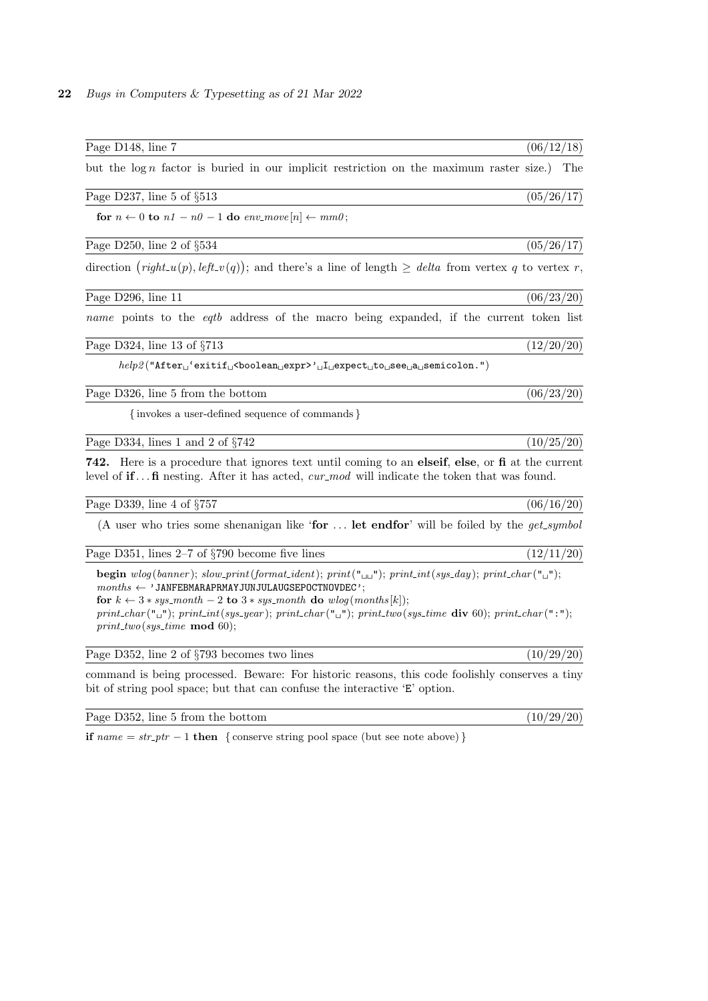| Page D148, line 7                                                                                                                                                                                                                                                                                                                                                                                                         | (06/12/18) |  |
|---------------------------------------------------------------------------------------------------------------------------------------------------------------------------------------------------------------------------------------------------------------------------------------------------------------------------------------------------------------------------------------------------------------------------|------------|--|
| but the $\log n$ factor is buried in our implicit restriction on the maximum raster size.) The                                                                                                                                                                                                                                                                                                                            |            |  |
| Page D237, line 5 of $\S513$                                                                                                                                                                                                                                                                                                                                                                                              | (05/26/17) |  |
| for $n \leftarrow 0$ to $n1 - n0 - 1$ do $env\_move[n] \leftarrow mm0$ ;                                                                                                                                                                                                                                                                                                                                                  |            |  |
| Page D250, line 2 of $\S 534$                                                                                                                                                                                                                                                                                                                                                                                             | (05/26/17) |  |
| direction $(\text{right\_u}(p), \text{left\_v}(q))$ ; and there's a line of length $\geq$ delta from vertex q to vertex r,                                                                                                                                                                                                                                                                                                |            |  |
| Page D296, line 11                                                                                                                                                                                                                                                                                                                                                                                                        | (06/23/20) |  |
| name points to the <i>eqtb</i> address of the macro being expanded, if the current token list                                                                                                                                                                                                                                                                                                                             |            |  |
| Page D324, line 13 of $\S713$                                                                                                                                                                                                                                                                                                                                                                                             | (12/20/20) |  |
| $\mathit{help2}("After \texttt{``exitif} \texttt{``boolean} \texttt{``expr'} \texttt{``if} \texttt{``expect} \texttt{``to} \texttt{``see} \texttt{``a} \texttt{``semicolon."})$                                                                                                                                                                                                                                           |            |  |
| Page D326, line 5 from the bottom                                                                                                                                                                                                                                                                                                                                                                                         | (06/23/20) |  |
| {invokes a user-defined sequence of commands}                                                                                                                                                                                                                                                                                                                                                                             |            |  |
| Page D334, lines 1 and 2 of $\S742$                                                                                                                                                                                                                                                                                                                                                                                       | (10/25/20) |  |
| 742. Here is a procedure that ignores text until coming to an elseif, else, or fi at the current<br>level of $iff$ nesting. After it has acted, cur-mod will indicate the token that was found.                                                                                                                                                                                                                           |            |  |
| Page D339, line 4 of $\S 757$                                                                                                                                                                                                                                                                                                                                                                                             | (06/16/20) |  |
| (A user who tries some shenanigan like 'for  let endfor' will be foiled by the $get\_symbol$                                                                                                                                                                                                                                                                                                                              |            |  |
| Page D351, lines $2-7$ of $\S790$ become five lines                                                                                                                                                                                                                                                                                                                                                                       | (12/11/20) |  |
| <b>begin</b> wlog(banner); slow_print(format_ident); print("\\ing "); print_int(sys_day); print_char("\ing");<br>$months \leftarrow 'JANFEBMARAPRMAYJUNJULAUGSEPOCTNOVDEC';$<br>for $k \leftarrow 3*sys{\_}month - 2$ to $3*sys{\_}month$ do $wlog(months[k])$ ;<br>print_char(" $\cup$ "); print_int(sys_year); print_char(" $\cup$ "); print_two(sys_time div 60); print_char(":");<br>$print\_two(sys\_time \mod 60);$ |            |  |
| Page D352, line 2 of §793 becomes two lines                                                                                                                                                                                                                                                                                                                                                                               | (10/29/20) |  |
| command is being processed. Beware: For historic reasons, this code foolishly conserves a tiny<br>bit of string pool space; but that can confuse the interactive 'E' option.                                                                                                                                                                                                                                              |            |  |

Page D352, line 5 from the bottom  $(10/29/20)$ 

if  $name = str\_ptr - 1$  then { conserve string pool space (but see note above) }